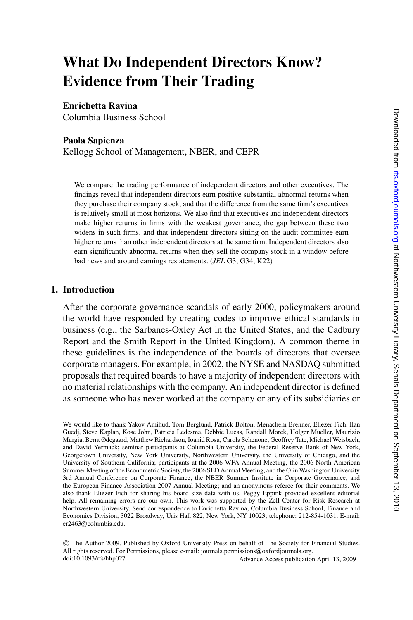# **What Do Independent Directors Know? Evidence from Their Trading**

**Enrichetta Ravina**

Columbia Business School

## **Paola Sapienza**

Kellogg School of Management, NBER, and CEPR

We compare the trading performance of independent directors and other executives. The findings reveal that independent directors earn positive substantial abnormal returns when they purchase their company stock, and that the difference from the same firm's executives is relatively small at most horizons. We also find that executives and independent directors make higher returns in firms with the weakest governance, the gap between these two widens in such firms, and that independent directors sitting on the audit committee earn higher returns than other independent directors at the same firm. Independent directors also earn significantly abnormal returns when they sell the company stock in a window before bad news and around earnings restatements. (*JEL* G3, G34, K22)

## **1. Introduction**

After the corporate governance scandals of early 2000, policymakers around the world have responded by creating codes to improve ethical standards in business (e.g., the Sarbanes-Oxley Act in the United States, and the Cadbury Report and the Smith Report in the United Kingdom). A common theme in these guidelines is the independence of the boards of directors that oversee corporate managers. For example, in 2002, the NYSE and NASDAQ submitted proposals that required boards to have a majority of independent directors with no material relationships with the company. An independent director is defined as someone who has never worked at the company or any of its subsidiaries or

We would like to thank Yakov Amihud, Tom Berglund, Patrick Bolton, Menachem Brenner, Eliezer Fich, Ilan Guedj, Steve Kaplan, Kose John, Patricia Ledesma, Debbie Lucas, Randall Morck, Holger Mueller, Maurizio Murgia, Bernt Ødegaard, Matthew Richardson, Ioanid Rosu, Carola Schenone, Geoffrey Tate, Michael Weisbach, and David Yermack; seminar participants at Columbia University, the Federal Reserve Bank of New York, Georgetown University, New York University, Northwestern University, the University of Chicago, and the University of Southern California; participants at the 2006 WFA Annual Meeting, the 2006 North American Summer Meeting of the Econometric Society, the 2006 SED Annual Meeting, and the Olin Washington University 3rd Annual Conference on Corporate Finance, the NBER Summer Institute in Corporate Governance, and the European Finance Association 2007 Annual Meeting; and an anonymous referee for their comments. We also thank Eliezer Fich for sharing his board size data with us. Peggy Eppink provided excellent editorial help. All remaining errors are our own. This work was supported by the Zell Center for Risk Research at Northwestern University. Send correspondence to Enrichetta Ravina, Columbia Business School, Finance and Economics Division, 3022 Broadway, Uris Hall 822, New York, NY 10023; telephone: 212-854-1031. E-mail: er2463@columbia.edu.

<sup>-</sup>C The Author 2009. Published by Oxford University Press on behalf of The Society for Financial Studies. All rights reserved. For Permissions, please e-mail: journals.permissions@oxfordjournals.org. doi:10.1093/rfs/hhp027 Advance Access publication April 13, 2009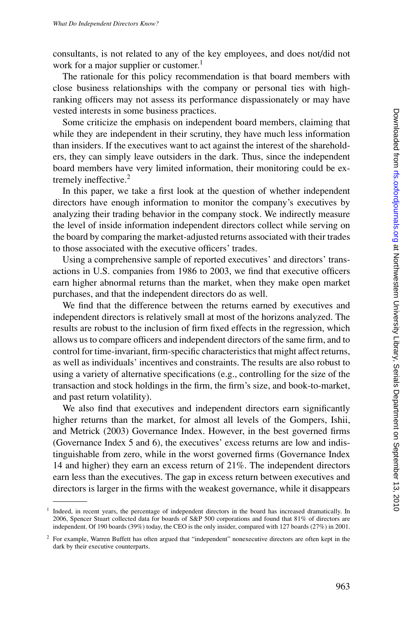consultants, is not related to any of the key employees, and does not/did not work for a major supplier or customer.<sup>1</sup>

The rationale for this policy recommendation is that board members with close business relationships with the company or personal ties with highranking officers may not assess its performance dispassionately or may have vested interests in some business practices.

Some criticize the emphasis on independent board members, claiming that while they are independent in their scrutiny, they have much less information than insiders. If the executives want to act against the interest of the shareholders, they can simply leave outsiders in the dark. Thus, since the independent board members have very limited information, their monitoring could be extremely ineffective.<sup>2</sup>

In this paper, we take a first look at the question of whether independent directors have enough information to monitor the company's executives by analyzing their trading behavior in the company stock. We indirectly measure the level of inside information independent directors collect while serving on the board by comparing the market-adjusted returns associated with their trades to those associated with the executive officers' trades.

Using a comprehensive sample of reported executives' and directors' transactions in U.S. companies from 1986 to 2003, we find that executive officers earn higher abnormal returns than the market, when they make open market purchases, and that the independent directors do as well.

We find that the difference between the returns earned by executives and independent directors is relatively small at most of the horizons analyzed. The results are robust to the inclusion of firm fixed effects in the regression, which allows us to compare officers and independent directors of the same firm, and to control for time-invariant, firm-specific characteristics that might affect returns, as well as individuals' incentives and constraints. The results are also robust to using a variety of alternative specifications (e.g., controlling for the size of the transaction and stock holdings in the firm, the firm's size, and book-to-market, and past return volatility).

We also find that executives and independent directors earn significantly higher returns than the market, for almost all levels of the Gompers, Ishii, and Metrick (2003) Governance Index. However, in the best governed firms (Governance Index 5 and 6), the executives' excess returns are low and indistinguishable from zero, while in the worst governed firms (Governance Index 14 and higher) they earn an excess return of 21%. The independent directors earn less than the executives. The gap in excess return between executives and directors is larger in the firms with the weakest governance, while it disappears

<sup>&</sup>lt;sup>1</sup> Indeed, in recent years, the percentage of independent directors in the board has increased dramatically. In 2006, Spencer Stuart collected data for boards of S&P 500 corporations and found that 81% of directors are independent. Of 190 boards (39%) today, the CEO is the only insider, compared with 127 boards (27%) in 2001.

<sup>2</sup> For example, Warren Buffett has often argued that "independent" nonexecutive directors are often kept in the dark by their executive counterparts.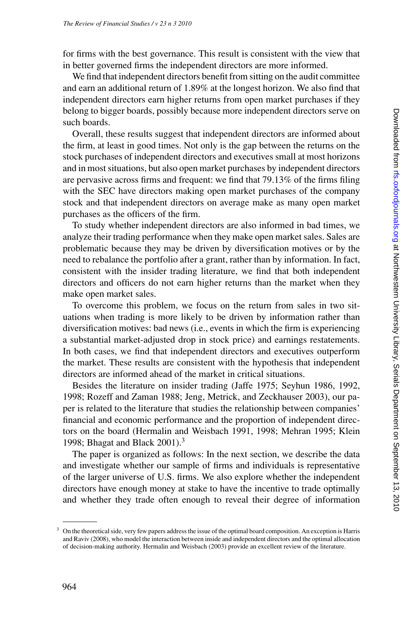for firms with the best governance. This result is consistent with the view that in better governed firms the independent directors are more informed.

We find that independent directors benefit from sitting on the audit committee and earn an additional return of 1.89% at the longest horizon. We also find that independent directors earn higher returns from open market purchases if they belong to bigger boards, possibly because more independent directors serve on such boards.

Overall, these results suggest that independent directors are informed about the firm, at least in good times. Not only is the gap between the returns on the stock purchases of independent directors and executives small at most horizons and in most situations, but also open market purchases by independent directors are pervasive across firms and frequent: we find that 79.13% of the firms filing with the SEC have directors making open market purchases of the company stock and that independent directors on average make as many open market purchases as the officers of the firm.

To study whether independent directors are also informed in bad times, we analyze their trading performance when they make open market sales. Sales are problematic because they may be driven by diversification motives or by the need to rebalance the portfolio after a grant, rather than by information. In fact, consistent with the insider trading literature, we find that both independent directors and officers do not earn higher returns than the market when they make open market sales.

To overcome this problem, we focus on the return from sales in two situations when trading is more likely to be driven by information rather than diversification motives: bad news (i.e., events in which the firm is experiencing a substantial market-adjusted drop in stock price) and earnings restatements. In both cases, we find that independent directors and executives outperform the market. These results are consistent with the hypothesis that independent directors are informed ahead of the market in critical situations.

Besides the literature on insider trading (Jaffe 1975; Seyhun 1986, 1992, 1998; Rozeff and Zaman 1988; Jeng, Metrick, and Zeckhauser 2003), our paper is related to the literature that studies the relationship between companies' financial and economic performance and the proportion of independent directors on the board (Hermalin and Weisbach 1991, 1998; Mehran 1995; Klein 1998; Bhagat and Black  $2001$ ).<sup>3</sup>

The paper is organized as follows: In the next section, we describe the data and investigate whether our sample of firms and individuals is representative of the larger universe of U.S. firms. We also explore whether the independent directors have enough money at stake to have the incentive to trade optimally and whether they trade often enough to reveal their degree of information

 $3$  On the theoretical side, very few papers address the issue of the optimal board composition. An exception is Harris and Raviv (2008), who model the interaction between inside and independent directors and the optimal allocation of decision-making authority. Hermalin and Weisbach (2003) provide an excellent review of the literature.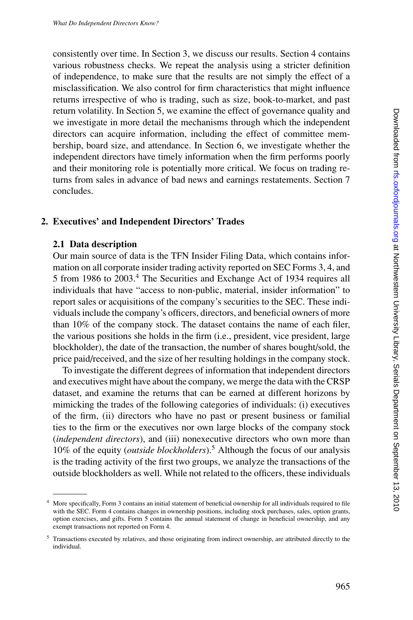consistently over time. In Section 3, we discuss our results. Section 4 contains various robustness checks. We repeat the analysis using a stricter definition of independence, to make sure that the results are not simply the effect of a misclassification. We also control for firm characteristics that might influence returns irrespective of who is trading, such as size, book-to-market, and past return volatility. In Section 5, we examine the effect of governance quality and we investigate in more detail the mechanisms through which the independent directors can acquire information, including the effect of committee membership, board size, and attendance. In Section 6, we investigate whether the independent directors have timely information when the firm performs poorly and their monitoring role is potentially more critical. We focus on trading returns from sales in advance of bad news and earnings restatements. Section 7 concludes.

## **2. Executives' and Independent Directors' Trades**

#### **2.1 Data description**

Our main source of data is the TFN Insider Filing Data, which contains information on all corporate insider trading activity reported on SEC Forms 3, 4, and 5 from 1986 to 2003.4 The Securities and Exchange Act of 1934 requires all individuals that have "access to non-public, material, insider information" to report sales or acquisitions of the company's securities to the SEC. These individuals include the company's officers, directors, and beneficial owners of more than 10% of the company stock. The dataset contains the name of each filer, the various positions she holds in the firm (i.e., president, vice president, large blockholder), the date of the transaction, the number of shares bought/sold, the price paid/received, and the size of her resulting holdings in the company stock.

To investigate the different degrees of information that independent directors and executives might have about the company, we merge the data with the CRSP dataset, and examine the returns that can be earned at different horizons by mimicking the trades of the following categories of individuals: (i) executives of the firm, (ii) directors who have no past or present business or familial ties to the firm or the executives nor own large blocks of the company stock (*independent directors*), and (iii) nonexecutive directors who own more than 10% of the equity (*outside blockholders*).<sup>5</sup> Although the focus of our analysis is the trading activity of the first two groups, we analyze the transactions of the outside blockholders as well. While not related to the officers, these individuals

More specifically, Form 3 contains an initial statement of beneficial ownership for all individuals required to file with the SEC. Form 4 contains changes in ownership positions, including stock purchases, sales, option grants, option exercises, and gifts. Form 5 contains the annual statement of change in beneficial ownership, and any exempt transactions not reported on Form 4.

<sup>5</sup> Transactions executed by relatives, and those originating from indirect ownership, are attributed directly to the individual.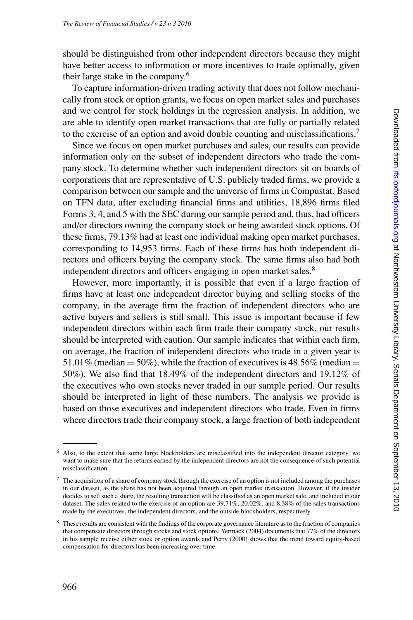should be distinguished from other independent directors because they might have better access to information or more incentives to trade optimally, given their large stake in the company.<sup>6</sup>

To capture information-driven trading activity that does not follow mechanically from stock or option grants, we focus on open market sales and purchases and we control for stock holdings in the regression analysis. In addition, we are able to identify open market transactions that are fully or partially related to the exercise of an option and avoid double counting and misclassifications.7

Since we focus on open market purchases and sales, our results can provide information only on the subset of independent directors who trade the company stock. To determine whether such independent directors sit on boards of corporations that are representative of U.S. publicly traded firms, we provide a comparison between our sample and the universe of firms in Compustat. Based on TFN data, after excluding financial firms and utilities, 18,896 firms filed Forms 3, 4, and 5 with the SEC during our sample period and, thus, had officers and/or directors owning the company stock or being awarded stock options. Of these firms, 79.13% had at least one individual making open market purchases, corresponding to 14,953 firms. Each of these firms has both independent directors and officers buying the company stock. The same firms also had both independent directors and officers engaging in open market sales.<sup>8</sup>

However, more importantly, it is possible that even if a large fraction of firms have at least one independent director buying and selling stocks of the company, in the average firm the fraction of independent directors who are active buyers and sellers is still small. This issue is important because if few independent directors within each firm trade their company stock, our results should be interpreted with caution. Our sample indicates that within each firm, on average, the fraction of independent directors who trade in a given year is 51.01% (median  $=$  50%), while the fraction of executives is 48.56% (median  $=$ 50%). We also find that 18.49% of the independent directors and 19.12% of the executives who own stocks never traded in our sample period. Our results should be interpreted in light of these numbers. The analysis we provide is based on those executives and independent directors who trade. Even in firms where directors trade their company stock, a large fraction of both independent

<sup>&</sup>lt;sup>6</sup> Also, to the extent that some large blockholders are misclassified into the independent director category, we want to make sure that the returns earned by the independent directors are not the consequence of such potential misclassification.

<sup>7</sup> The acquisition of a share of company stock through the exercise of an option is not included among the purchases in our dataset, as the share has not been acquired through an open market transaction. However, if the insider decides to sell such a share, the resulting transaction will be classified as an open market sale, and included in our dataset. The sales related to the exercise of an option are 39.71%, 20.02%, and 8.38% of the sales transactions made by the executives, the independent directors, and the outside blockholders, respectively.

These results are consistent with the findings of the corporate governance literature as to the fraction of companies that compensate directors through stocks and stock options. Yermack (2004) documents that 77% of the directors in his sample receive either stock or option awards and Perry (2000) shows that the trend toward equity-based compensation for directors has been increasing over time.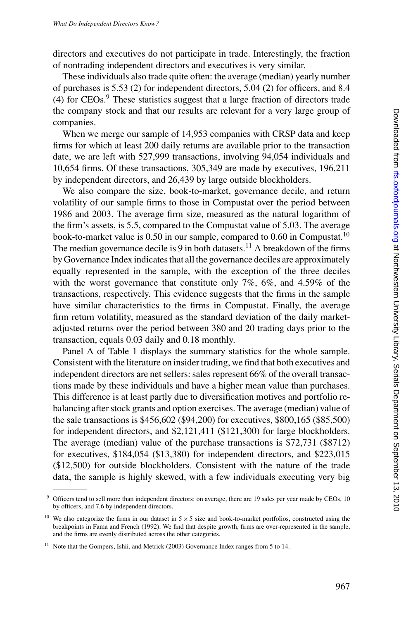directors and executives do not participate in trade. Interestingly, the fraction of nontrading independent directors and executives is very similar.

These individuals also trade quite often: the average (median) yearly number of purchases is 5.53 (2) for independent directors, 5.04 (2) for officers, and 8.4 (4) for  $CEOs<sup>9</sup>$ . These statistics suggest that a large fraction of directors trade the company stock and that our results are relevant for a very large group of companies.

When we merge our sample of 14,953 companies with CRSP data and keep firms for which at least 200 daily returns are available prior to the transaction date, we are left with 527,999 transactions, involving 94,054 individuals and 10,654 firms. Of these transactions, 305,349 are made by executives, 196,211 by independent directors, and 26,439 by large outside blockholders.

We also compare the size, book-to-market, governance decile, and return volatility of our sample firms to those in Compustat over the period between 1986 and 2003. The average firm size, measured as the natural logarithm of the firm's assets, is 5.5, compared to the Compustat value of 5.03. The average book-to-market value is  $0.50$  in our sample, compared to  $0.60$  in Compustat.<sup>10</sup> The median governance decile is 9 in both datasets.<sup>11</sup> A breakdown of the firms by Governance Index indicates that all the governance deciles are approximately equally represented in the sample, with the exception of the three deciles with the worst governance that constitute only 7%, 6%, and 4.59% of the transactions, respectively. This evidence suggests that the firms in the sample have similar characteristics to the firms in Compustat. Finally, the average firm return volatility, measured as the standard deviation of the daily marketadjusted returns over the period between 380 and 20 trading days prior to the transaction, equals 0.03 daily and 0.18 monthly.

Panel A of Table 1 displays the summary statistics for the whole sample. Consistent with the literature on insider trading, we find that both executives and independent directors are net sellers: sales represent 66% of the overall transactions made by these individuals and have a higher mean value than purchases. This difference is at least partly due to diversification motives and portfolio rebalancing after stock grants and option exercises. The average (median) value of the sale transactions is \$456,602 (\$94,200) for executives, \$800,165 (\$85,500) for independent directors, and \$2,121,411 (\$121,300) for large blockholders. The average (median) value of the purchase transactions is \$72,731 (\$8712) for executives, \$184,054 (\$13,380) for independent directors, and \$223,015 (\$12,500) for outside blockholders. Consistent with the nature of the trade data, the sample is highly skewed, with a few individuals executing very big

<sup>&</sup>lt;sup>9</sup> Officers tend to sell more than independent directors: on average, there are 19 sales per year made by CEOs, 10 by officers, and 7.6 by independent directors.

<sup>&</sup>lt;sup>10</sup> We also categorize the firms in our dataset in  $5 \times 5$  size and book-to-market portfolios, constructed using the breakpoints in Fama and French (1992). We find that despite growth, firms are over-represented in the sample, and the firms are evenly distributed across the other categories.

Note that the Gompers, Ishii, and Metrick (2003) Governance Index ranges from 5 to 14.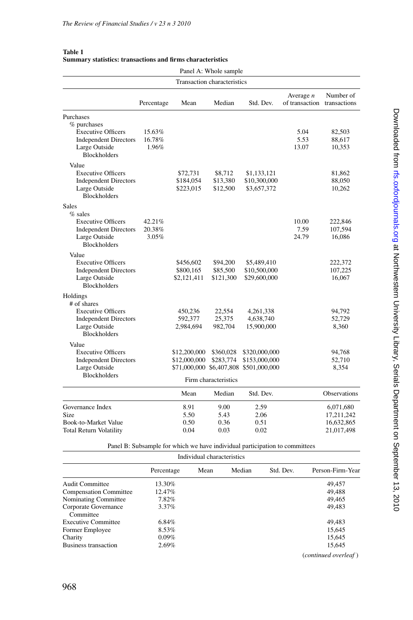#### **Table 1 Summary statistics: transactions and firms characteristics**

|                                      |            |              | Panel A: Whole sample       |                                        |                                          |              |
|--------------------------------------|------------|--------------|-----------------------------|----------------------------------------|------------------------------------------|--------------|
|                                      |            |              | Transaction characteristics |                                        |                                          |              |
|                                      | Percentage | Mean         | Median                      | Std. Dev.                              | Average n<br>of transaction transactions | Number of    |
| Purchases                            |            |              |                             |                                        |                                          |              |
| % purchases                          |            |              |                             |                                        |                                          |              |
| <b>Executive Officers</b>            | 15.63%     |              |                             |                                        | 5.04                                     | 82,503       |
| <b>Independent Directors</b>         | 16.78%     |              |                             |                                        | 5.53                                     | 88,617       |
| Large Outside<br><b>Blockholders</b> | 1.96%      |              |                             |                                        | 13.07                                    | 10,353       |
| Value                                |            |              |                             |                                        |                                          |              |
| <b>Executive Officers</b>            |            | \$72,731     | \$8,712                     | \$1,133,121                            |                                          | 81,862       |
| <b>Independent Directors</b>         |            | \$184,054    | \$13,380                    | \$10,300,000                           |                                          | 88,050       |
| Large Outside                        |            | \$223,015    | \$12,500                    | \$3,657,372                            |                                          | 10,262       |
| <b>Blockholders</b>                  |            |              |                             |                                        |                                          |              |
| <b>Sales</b>                         |            |              |                             |                                        |                                          |              |
| $%$ sales                            |            |              |                             |                                        |                                          |              |
| <b>Executive Officers</b>            | 42.21%     |              |                             |                                        | 10.00                                    | 222,846      |
| <b>Independent Directors</b>         | 20.38%     |              |                             |                                        | 7.59                                     | 107,594      |
| Large Outside<br><b>Blockholders</b> | 3.05%      |              |                             |                                        | 24.79                                    | 16,086       |
| Value                                |            |              |                             |                                        |                                          |              |
| <b>Executive Officers</b>            |            | \$456,602    | \$94,200                    | \$5,489,410                            |                                          | 222,372      |
| <b>Independent Directors</b>         |            | \$800,165    | \$85,500                    | \$10,500,000                           |                                          | 107,225      |
| Large Outside                        |            | \$2,121,411  | \$121,300                   | \$29,600,000                           |                                          | 16,067       |
| <b>Blockholders</b>                  |            |              |                             |                                        |                                          |              |
| Holdings                             |            |              |                             |                                        |                                          |              |
| # of shares                          |            |              |                             |                                        |                                          |              |
| <b>Executive Officers</b>            |            | 450,236      | 22,554                      | 4,261,338                              |                                          | 94,792       |
| <b>Independent Directors</b>         |            | 592,377      | 25,375                      | 4,638,740                              |                                          | 52,729       |
| Large Outside                        |            | 2,984,694    | 982,704                     | 15,900,000                             |                                          | 8,360        |
| <b>Blockholders</b>                  |            |              |                             |                                        |                                          |              |
| Value                                |            |              |                             |                                        |                                          |              |
| <b>Executive Officers</b>            |            | \$12,200,000 | \$360,028                   | \$320,000,000                          |                                          | 94,768       |
| <b>Independent Directors</b>         |            | \$12,000,000 | \$283,774                   | \$153,000,000                          |                                          | 52,710       |
| Large Outside                        |            |              |                             | \$71,000,000 \$6,407,808 \$501,000,000 |                                          | 8,354        |
| <b>Blockholders</b>                  |            |              | Firm characteristics        |                                        |                                          |              |
|                                      |            | Mean         | Median                      | Std. Dev.                              |                                          | Observations |
|                                      |            |              |                             |                                        |                                          |              |
| Governance Index                     |            | 8.91         | 9.00                        | 2.59                                   |                                          | 6,071,680    |
| Size                                 |            | 5.50         | 5.43                        | 2.06                                   |                                          | 17,211,242   |
| <b>Book-to-Market Value</b>          |            | 0.50         | 0.36                        | 0.51                                   |                                          | 16,632,865   |
| <b>Total Return Volatility</b>       |            | 0.04         | 0.03                        | 0.02                                   |                                          | 21,017,498   |

| Panel B: Subsample for which we have individual participation to committees |  |  |  |  |
|-----------------------------------------------------------------------------|--|--|--|--|
|-----------------------------------------------------------------------------|--|--|--|--|

|                                   |            | Individual characteristics |        |           |                      |
|-----------------------------------|------------|----------------------------|--------|-----------|----------------------|
|                                   | Percentage | Mean                       | Median | Std. Dev. | Person-Firm-Year     |
| Audit Committee                   | 13.30%     |                            |        |           | 49,457               |
| <b>Compensation Committee</b>     | 12.47%     |                            |        |           | 49.488               |
| Nominating Committee              | 7.82%      |                            |        |           | 49,465               |
| Corporate Governance<br>Committee | $3.37\%$   |                            |        |           | 49,483               |
| <b>Executive Committee</b>        | 6.84%      |                            |        |           | 49,483               |
| Former Employee                   | 8.53%      |                            |        |           | 15.645               |
| Charity                           | $0.09\%$   |                            |        |           | 15,645               |
| <b>Business transaction</b>       | 2.69%      |                            |        |           | 15,645               |
|                                   |            |                            |        |           | (continued overleaf) |

Downloaded from rfs.oxfordjournals.org at Northwestern University Library, Serials Department on September 13, 2010 at Northwestern University Library, Serials Department on September 13, 2010 [rfs.oxfordjournals.org](http://rfs.oxfordjournals.org/) Downloaded from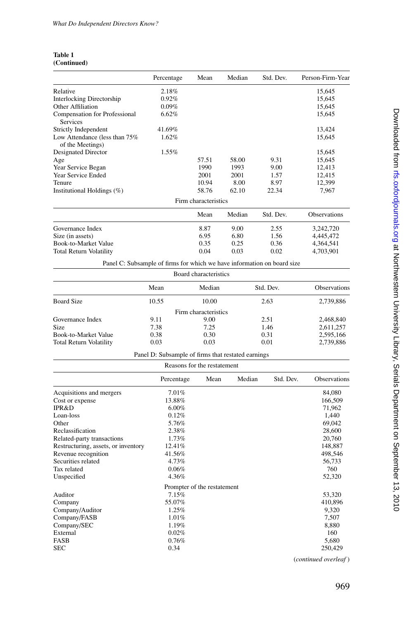## **Table 1 (Continued)**

|                                                   | Percentage                                                              | Mean                  | Median | Std. Dev. | Person-Firm-Year    |
|---------------------------------------------------|-------------------------------------------------------------------------|-----------------------|--------|-----------|---------------------|
| Relative                                          | 2.18%                                                                   |                       |        |           | 15,645              |
| <b>Interlocking Directorship</b>                  | 0.92%                                                                   |                       |        |           | 15.645              |
| Other Affiliation                                 | $0.09\%$                                                                |                       |        |           | 15,645              |
| Compensation for Professional<br><b>Services</b>  | 6.62%                                                                   |                       |        |           | 15,645              |
| Strictly Independent                              | 41.69%                                                                  |                       |        |           | 13,424              |
| Low Attendance (less than 75%<br>of the Meetings) | 1.62%                                                                   |                       |        |           | 15,645              |
| <b>Designated Director</b>                        | 1.55%                                                                   |                       |        |           | 15,645              |
| Age                                               |                                                                         | 57.51                 | 58.00  | 9.31      | 15,645              |
| Year Service Began                                |                                                                         | 1990                  | 1993   | 9.00      | 12,413              |
| Year Service Ended                                |                                                                         | 2001                  | 2001   | 1.57      | 12,415              |
| Tenure                                            |                                                                         | 10.94                 | 8.00   | 8.97      | 12,399              |
| Institutional Holdings (%)                        |                                                                         | 58.76                 | 62.10  | 22.34     | 7.967               |
|                                                   |                                                                         | Firm characteristics  |        |           |                     |
|                                                   |                                                                         | Mean                  | Median | Std. Dev. | <b>Observations</b> |
| Governance Index                                  |                                                                         | 8.87                  | 9.00   | 2.55      | 3,242,720           |
| Size (in assets)                                  |                                                                         | 6.95                  | 6.80   | 1.56      | 4,445,472           |
| <b>Book-to-Market Value</b>                       |                                                                         | 0.35                  | 0.25   | 0.36      | 4,364,541           |
| <b>Total Return Volatility</b>                    |                                                                         | 0.04                  | 0.03   | 0.02      | 4,703,901           |
|                                                   | Panel C: Subsample of firms for which we have information on board size |                       |        |           |                     |
|                                                   |                                                                         | Board characteristics |        |           |                     |
|                                                   | Mean                                                                    | Median                |        | Std. Dev. | <b>Observations</b> |

|                                | Mean  | Median               | Std. Dev. | Observation |
|--------------------------------|-------|----------------------|-----------|-------------|
| <b>Board Size</b>              | 10.55 | 10.00                | 2.63      | 2,739,886   |
|                                |       | Firm characteristics |           |             |
| Governance Index               | 9.11  | 9.00                 | 2.51      | 2,468,840   |
| Size                           | 7.38  | 7.25                 | 1.46      | 2,611,257   |
| Book-to-Market Value           | 0.38  | 0.30                 | 0.31      | 2,595,166   |
| <b>Total Return Volatility</b> | 0.03  | 0.03                 | 0.01      | 2,739,886   |

|                                     | Panel D: Subsample of firms that restated earnings |      |        |           |              |
|-------------------------------------|----------------------------------------------------|------|--------|-----------|--------------|
|                                     | Reasons for the restatement                        |      |        |           |              |
|                                     | Percentage                                         | Mean | Median | Std. Dev. | Observations |
| Acquisitions and mergers            | 7.01%                                              |      |        |           | 84,080       |
| Cost or expense                     | 13.88%                                             |      |        |           | 166,509      |
| IPR&D                               | $6.00\%$                                           |      |        |           | 71,962       |
| Loan-loss                           | 0.12%                                              |      |        |           | 1,440        |
| Other                               | 5.76%                                              |      |        |           | 69,042       |
| Reclassification                    | $2.38\%$                                           |      |        |           | 28,600       |
| Related-party transactions          | 1.73%                                              |      |        |           | 20,760       |
| Restructuring, assets, or inventory | 12.41%                                             |      |        |           | 148,887      |
| Revenue recognition                 | 41.56%                                             |      |        |           | 498,546      |
| Securities related                  | 4.73%                                              |      |        |           | 56,733       |
| Tax related                         | 0.06%                                              |      |        |           | 760          |
| Unspecified                         | 4.36%                                              |      |        |           | 52,320       |
|                                     | Prompter of the restatement                        |      |        |           |              |
| Auditor                             | 7.15%                                              |      |        |           | 53,320       |
| Company                             | 55.07%                                             |      |        |           | 410,896      |
| Company/Auditor                     | 1.25%                                              |      |        |           | 9,320        |
| Company/FASB                        | 1.01%                                              |      |        |           | 7,507        |
| Company/SEC                         | 1.19%                                              |      |        |           | 8,880        |
| External                            | $0.02\%$                                           |      |        |           | 160          |
| <b>FASB</b>                         | 0.76%                                              |      |        |           | 5,680        |
| SEC                                 | 0.34                                               |      |        |           | 250,429      |

(*continued overleaf* )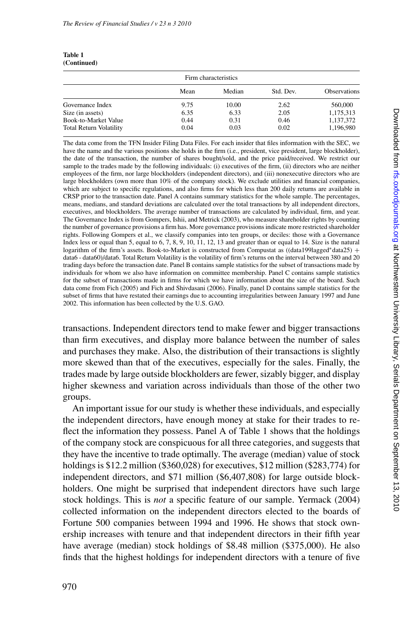| Table 1     |
|-------------|
| (Continued) |

|                                |      | Firm characteristics |           |              |
|--------------------------------|------|----------------------|-----------|--------------|
|                                | Mean | Median               | Std. Dev. | Observations |
| Governance Index               | 9.75 | 10.00                | 2.62      | 560,000      |
| Size (in assets)               | 6.35 | 6.33                 | 2.05      | 1,175,313    |
| <b>Book-to-Market Value</b>    | 0.44 | 0.31                 | 0.46      | 1,137,372    |
| <b>Total Return Volatility</b> | 0.04 | 0.03                 | 0.02      | 1,196,980    |

The data come from the TFN Insider Filing Data Files. For each insider that files information with the SEC, we have the name and the various positions she holds in the firm (i.e., president, vice president, large blockholder), the date of the transaction, the number of shares bought/sold, and the price paid/received. We restrict our sample to the trades made by the following individuals: (i) executives of the firm, (ii) directors who are neither employees of the firm, nor large blockholders (independent directors), and (iii) nonexecutive directors who are large blockholders (own more than 10% of the company stock). We exclude utilities and financial companies, which are subject to specific regulations, and also firms for which less than 200 daily returns are available in CRSP prior to the transaction date. Panel A contains summary statistics for the whole sample. The percentages, means, medians, and standard deviations are calculated over the total transactions by all independent directors, executives, and blockholders. The average number of transactions are calculated by individual, firm, and year. The Governance Index is from Gompers, Ishii, and Metrick (2003), who measure shareholder rights by counting the number of governance provisions a firm has. More governance provisions indicate more restricted shareholder rights. Following Gompers et al., we classify companies into ten groups, or deciles: those with a Governance Index less or equal than 5, equal to 6, 7, 8, 9, 10, 11, 12, 13 and greater than or equal to 14. Size is the natural logarithm of the firm's assets. Book-to-Market is constructed from Compustat as ((data199lagged\*data25) + data6 - data60)/data6. Total Return Volatility is the volatility of firm's returns on the interval between 380 and 20 trading days before the transaction date. Panel B contains sample statistics for the subset of transactions made by individuals for whom we also have information on committee membership. Panel C contains sample statistics for the subset of transactions made in firms for which we have information about the size of the board. Such data come from Fich (2005) and Fich and Shivdasani (2006). Finally, panel D contains sample statistics for the subset of firms that have restated their earnings due to accounting irregularities between January 1997 and June 2002. This information has been collected by the U.S. GAO.

transactions. Independent directors tend to make fewer and bigger transactions than firm executives, and display more balance between the number of sales and purchases they make. Also, the distribution of their transactions is slightly more skewed than that of the executives, especially for the sales. Finally, the trades made by large outside blockholders are fewer, sizably bigger, and display higher skewness and variation across individuals than those of the other two groups.

An important issue for our study is whether these individuals, and especially the independent directors, have enough money at stake for their trades to reflect the information they possess. Panel A of Table 1 shows that the holdings of the company stock are conspicuous for all three categories, and suggests that they have the incentive to trade optimally. The average (median) value of stock holdings is \$12.2 million (\$360,028) for executives, \$12 million (\$283,774) for independent directors, and \$71 million (\$6,407,808) for large outside blockholders. One might be surprised that independent directors have such large stock holdings. This is *not* a specific feature of our sample. Yermack (2004) collected information on the independent directors elected to the boards of Fortune 500 companies between 1994 and 1996. He shows that stock ownership increases with tenure and that independent directors in their fifth year have average (median) stock holdings of \$8.48 million (\$375,000). He also finds that the highest holdings for independent directors with a tenure of five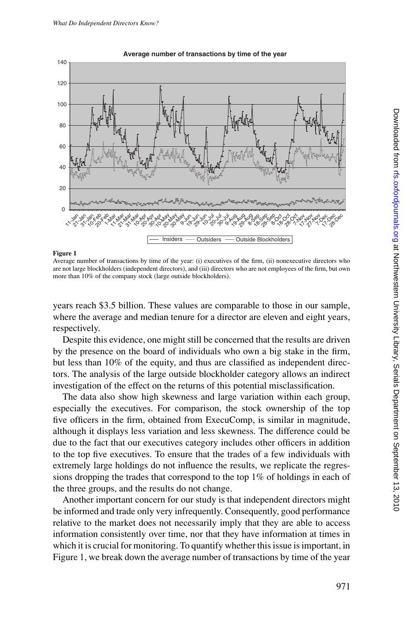

#### **Figure 1**

Average number of transactions by time of the year: (i) executives of the firm, (ii) nonexecutive directors who are not large blockholders (independent directors), and (iii) directors who are not employees of the firm, but own more than 10% of the company stock (large outside blockholders).

years reach \$3.5 billion. These values are comparable to those in our sample, where the average and median tenure for a director are eleven and eight years, respectively.

Despite this evidence, one might still be concerned that the results are driven by the presence on the board of individuals who own a big stake in the firm, but less than 10% of the equity, and thus are classified as independent directors. The analysis of the large outside blockholder category allows an indirect investigation of the effect on the returns of this potential misclassification.

The data also show high skewness and large variation within each group, especially the executives. For comparison, the stock ownership of the top five officers in the firm, obtained from ExecuComp, is similar in magnitude, although it displays less variation and less skewness. The difference could be due to the fact that our executives category includes other officers in addition to the top five executives. To ensure that the trades of a few individuals with extremely large holdings do not influence the results, we replicate the regressions dropping the trades that correspond to the top 1% of holdings in each of the three groups, and the results do not change.

Another important concern for our study is that independent directors might be informed and trade only very infrequently. Consequently, good performance relative to the market does not necessarily imply that they are able to access information consistently over time, nor that they have information at times in which it is crucial for monitoring. To quantify whether this issue is important, in Figure 1, we break down the average number of transactions by time of the year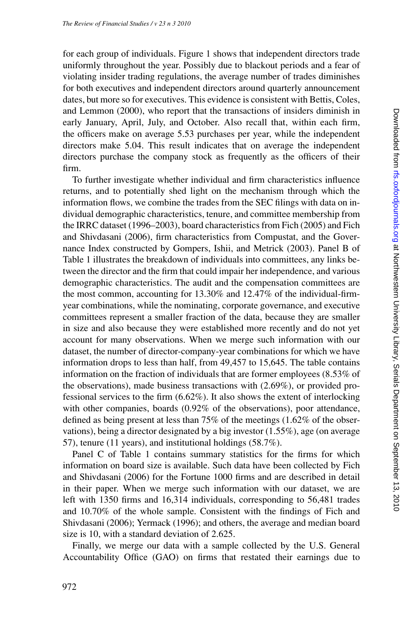for each group of individuals. Figure 1 shows that independent directors trade uniformly throughout the year. Possibly due to blackout periods and a fear of violating insider trading regulations, the average number of trades diminishes for both executives and independent directors around quarterly announcement dates, but more so for executives. This evidence is consistent with Bettis, Coles, and Lemmon (2000), who report that the transactions of insiders diminish in early January, April, July, and October. Also recall that, within each firm, the officers make on average 5.53 purchases per year, while the independent directors make 5.04. This result indicates that on average the independent directors purchase the company stock as frequently as the officers of their firm.

To further investigate whether individual and firm characteristics influence returns, and to potentially shed light on the mechanism through which the information flows, we combine the trades from the SEC filings with data on individual demographic characteristics, tenure, and committee membership from the IRRC dataset (1996–2003), board characteristics from Fich (2005) and Fich and Shivdasani (2006), firm characteristics from Compustat, and the Governance Index constructed by Gompers, Ishii, and Metrick (2003). Panel B of Table 1 illustrates the breakdown of individuals into committees, any links between the director and the firm that could impair her independence, and various demographic characteristics. The audit and the compensation committees are the most common, accounting for 13.30% and 12.47% of the individual-firmyear combinations, while the nominating, corporate governance, and executive committees represent a smaller fraction of the data, because they are smaller in size and also because they were established more recently and do not yet account for many observations. When we merge such information with our dataset, the number of director-company-year combinations for which we have information drops to less than half, from 49,457 to 15,645. The table contains information on the fraction of individuals that are former employees (8.53% of the observations), made business transactions with (2.69%), or provided professional services to the firm (6.62%). It also shows the extent of interlocking with other companies, boards (0.92% of the observations), poor attendance, defined as being present at less than 75% of the meetings (1.62% of the observations), being a director designated by a big investor (1.55%), age (on average 57), tenure (11 years), and institutional holdings (58.7%).

Panel C of Table 1 contains summary statistics for the firms for which information on board size is available. Such data have been collected by Fich and Shivdasani (2006) for the Fortune 1000 firms and are described in detail in their paper. When we merge such information with our dataset, we are left with 1350 firms and 16,314 individuals, corresponding to 56,481 trades and 10.70% of the whole sample. Consistent with the findings of Fich and Shivdasani (2006); Yermack (1996); and others, the average and median board size is 10, with a standard deviation of 2.625.

Finally, we merge our data with a sample collected by the U.S. General Accountability Office (GAO) on firms that restated their earnings due to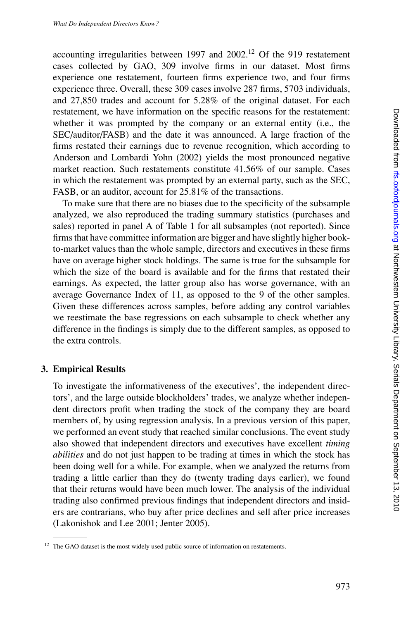accounting irregularities between 1997 and  $2002<sup>12</sup>$  Of the 919 restatement cases collected by GAO, 309 involve firms in our dataset. Most firms experience one restatement, fourteen firms experience two, and four firms experience three. Overall, these 309 cases involve 287 firms, 5703 individuals, and 27,850 trades and account for 5.28% of the original dataset. For each restatement, we have information on the specific reasons for the restatement: whether it was prompted by the company or an external entity (i.e., the SEC/auditor/FASB) and the date it was announced. A large fraction of the firms restated their earnings due to revenue recognition, which according to Anderson and Lombardi Yohn (2002) yields the most pronounced negative market reaction. Such restatements constitute 41.56% of our sample. Cases in which the restatement was prompted by an external party, such as the SEC, FASB, or an auditor, account for 25.81% of the transactions.

To make sure that there are no biases due to the specificity of the subsample analyzed, we also reproduced the trading summary statistics (purchases and sales) reported in panel A of Table 1 for all subsamples (not reported). Since firms that have committee information are bigger and have slightly higher bookto-market values than the whole sample, directors and executives in these firms have on average higher stock holdings. The same is true for the subsample for which the size of the board is available and for the firms that restated their earnings. As expected, the latter group also has worse governance, with an average Governance Index of 11, as opposed to the 9 of the other samples. Given these differences across samples, before adding any control variables we reestimate the base regressions on each subsample to check whether any difference in the findings is simply due to the different samples, as opposed to the extra controls.

## **3. Empirical Results**

To investigate the informativeness of the executives', the independent directors', and the large outside blockholders' trades, we analyze whether independent directors profit when trading the stock of the company they are board members of, by using regression analysis. In a previous version of this paper, we performed an event study that reached similar conclusions. The event study also showed that independent directors and executives have excellent *timing abilities* and do not just happen to be trading at times in which the stock has been doing well for a while. For example, when we analyzed the returns from trading a little earlier than they do (twenty trading days earlier), we found that their returns would have been much lower. The analysis of the individual trading also confirmed previous findings that independent directors and insiders are contrarians, who buy after price declines and sell after price increases (Lakonishok and Lee 2001; Jenter 2005).

The GAO dataset is the most widely used public source of information on restatements.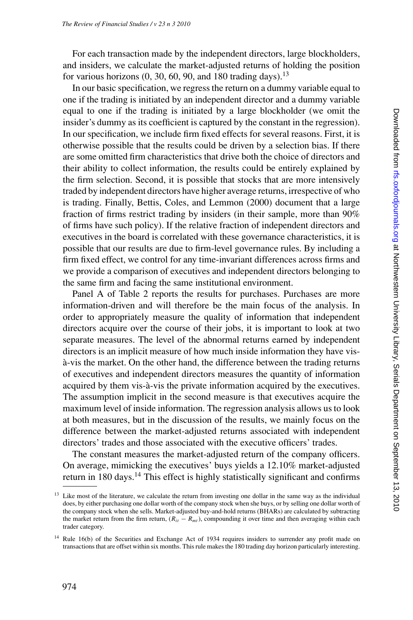For each transaction made by the independent directors, large blockholders, and insiders, we calculate the market-adjusted returns of holding the position for various horizons  $(0, 30, 60, 90,$  and 180 trading days).<sup>13</sup>

In our basic specification, we regress the return on a dummy variable equal to one if the trading is initiated by an independent director and a dummy variable equal to one if the trading is initiated by a large blockholder (we omit the insider's dummy as its coefficient is captured by the constant in the regression). In our specification, we include firm fixed effects for several reasons. First, it is otherwise possible that the results could be driven by a selection bias. If there are some omitted firm characteristics that drive both the choice of directors and their ability to collect information, the results could be entirely explained by the firm selection. Second, it is possible that stocks that are more intensively traded by independent directors have higher average returns, irrespective of who is trading. Finally, Bettis, Coles, and Lemmon (2000) document that a large fraction of firms restrict trading by insiders (in their sample, more than 90% of firms have such policy). If the relative fraction of independent directors and executives in the board is correlated with these governance characteristics, it is possible that our results are due to firm-level governance rules. By including a firm fixed effect, we control for any time-invariant differences across firms and we provide a comparison of executives and independent directors belonging to the same firm and facing the same institutional environment.

Panel A of Table 2 reports the results for purchases. Purchases are more information-driven and will therefore be the main focus of the analysis. In order to appropriately measure the quality of information that independent directors acquire over the course of their jobs, it is important to look at two separate measures. The level of the abnormal returns earned by independent directors is an implicit measure of how much inside information they have visa-vis the market. On the other hand, the difference between the trading returns ` of executives and independent directors measures the quantity of information acquired by them vis-à-vis the private information acquired by the executives. The assumption implicit in the second measure is that executives acquire the maximum level of inside information. The regression analysis allows us to look at both measures, but in the discussion of the results, we mainly focus on the difference between the market-adjusted returns associated with independent directors' trades and those associated with the executive officers' trades.

The constant measures the market-adjusted return of the company officers. On average, mimicking the executives' buys yields a 12.10% market-adjusted return in 180 days.<sup>14</sup> This effect is highly statistically significant and confirms

<sup>&</sup>lt;sup>13</sup> Like most of the literature, we calculate the return from investing one dollar in the same way as the individual does, by either purchasing one dollar worth of the company stock when she buys, or by selling one dollar worth of the company stock when she sells. Market-adjusted buy-and-hold returns (BHARs) are calculated by subtracting the market return from the firm return,  $(R_{it} - R_{mt})$ , compounding it over time and then averaging within each trader category.

<sup>&</sup>lt;sup>14</sup> Rule 16(b) of the Securities and Exchange Act of 1934 requires insiders to surrender any profit made on transactions that are offset within six months. This rule makes the 180 trading day horizon particularly interesting.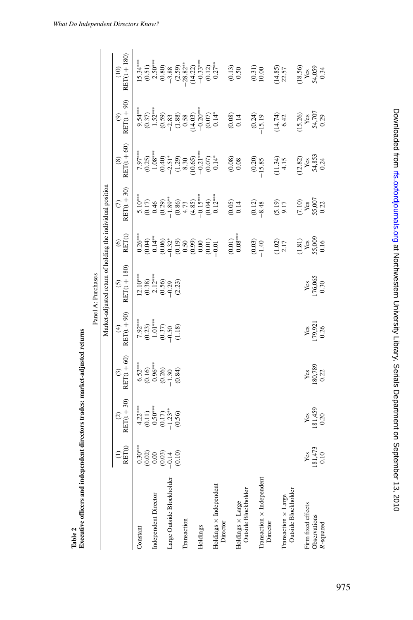|                                | n ffinn   |
|--------------------------------|-----------|
| $\mathbf{\tilde{c}}$<br>ž<br>₽ | Expanding |

| ì                                                                                             |
|-----------------------------------------------------------------------------------------------|
| ֧֧֧֧֧֧֧֧֧֧֧֧֧֧֧֧֧֪֧֧֧֧֧֧֧֧֧֧֧֧֧֧֧֧֧֧֧֧֧֧֧֧֧֚֚֚֚֚֚֚֚֚֚֚֚֚֚֚֚֚֚֚֚֚֚֚֚֝֝֓֝֓֝֟֓֝֬֝֓֝֓֓֜֓֝֬֝֓֜֝֬֝֬ |
|                                                                                               |
| i                                                                                             |
| í                                                                                             |
|                                                                                               |
| ļ<br>l                                                                                        |
| ļ                                                                                             |

|                                                 |                           |                                                                            |                                                                      |                                                                                                                                                                                                     | Panel A: Purchases                                                      |                                                                                                                                                                                                                                                                                                                |                                                                                                                                                                                          |                                                                                                                                                                                                                         |                                                                                                                                                                                                                                                                                         |                                                                                                                                                                                                                                                                                                                                                                                                                                                                        |
|-------------------------------------------------|---------------------------|----------------------------------------------------------------------------|----------------------------------------------------------------------|-----------------------------------------------------------------------------------------------------------------------------------------------------------------------------------------------------|-------------------------------------------------------------------------|----------------------------------------------------------------------------------------------------------------------------------------------------------------------------------------------------------------------------------------------------------------------------------------------------------------|------------------------------------------------------------------------------------------------------------------------------------------------------------------------------------------|-------------------------------------------------------------------------------------------------------------------------------------------------------------------------------------------------------------------------|-----------------------------------------------------------------------------------------------------------------------------------------------------------------------------------------------------------------------------------------------------------------------------------------|------------------------------------------------------------------------------------------------------------------------------------------------------------------------------------------------------------------------------------------------------------------------------------------------------------------------------------------------------------------------------------------------------------------------------------------------------------------------|
|                                                 |                           |                                                                            |                                                                      |                                                                                                                                                                                                     | Market-adjusted return of holding the individual position               |                                                                                                                                                                                                                                                                                                                |                                                                                                                                                                                          |                                                                                                                                                                                                                         |                                                                                                                                                                                                                                                                                         |                                                                                                                                                                                                                                                                                                                                                                                                                                                                        |
|                                                 | $rac{1}{100}$             | $\begin{array}{c} (2) \\ RET(t+30) \end{array}$                            | (3)<br>RET(t + 60)                                                   | (4)<br>RET(t + 90)                                                                                                                                                                                  | (5)<br>RET(t + 180)                                                     | $\frac{6}{R}$                                                                                                                                                                                                                                                                                                  | $\begin{array}{c} (7) \\ RET(t+30) \end{array}$                                                                                                                                          | $\begin{array}{c} (8) \\ {\rm RET(t+60)} \end{array}$                                                                                                                                                                   | $\begin{array}{c} (9) \\ RET(t+90) \end{array}$                                                                                                                                                                                                                                         | $(10)$ RET(t + 180)                                                                                                                                                                                                                                                                                                                                                                                                                                                    |
| Constant                                        |                           |                                                                            |                                                                      |                                                                                                                                                                                                     |                                                                         |                                                                                                                                                                                                                                                                                                                |                                                                                                                                                                                          |                                                                                                                                                                                                                         |                                                                                                                                                                                                                                                                                         |                                                                                                                                                                                                                                                                                                                                                                                                                                                                        |
| Independent Director                            |                           | $4.22***$<br>$(0.11)$<br>$-0.50***$<br>$(0.17)$<br>$-1.23**$<br>$-1.23***$ | 6.52***<br>$(0.16)$<br>$-0.96$ ***<br>$(0.26)$<br>$-1.30$<br>$-1.30$ | $7.92$ $7.92$ $7.93$ $7.93$ $7.93$ $7.94$ $7.92$ $7.92$ $7.92$ $7.92$ $7.92$ $7.92$ $7.92$ $7.92$ $7.92$ $7.92$ $7.92$ $7.92$ $7.92$ $7.92$ $7.92$ $7.92$ $7.92$ $7.92$ $7.92$ $7.92$ $7.92$ $7.92$ | $12.10***$<br>$(0.38)$<br>$-2.12***$<br>$(0.56)$<br>$-0.23$<br>$(2.23)$ |                                                                                                                                                                                                                                                                                                                |                                                                                                                                                                                          |                                                                                                                                                                                                                         |                                                                                                                                                                                                                                                                                         |                                                                                                                                                                                                                                                                                                                                                                                                                                                                        |
|                                                 |                           |                                                                            |                                                                      |                                                                                                                                                                                                     |                                                                         |                                                                                                                                                                                                                                                                                                                |                                                                                                                                                                                          |                                                                                                                                                                                                                         |                                                                                                                                                                                                                                                                                         |                                                                                                                                                                                                                                                                                                                                                                                                                                                                        |
| Large Outside Blockholder                       |                           |                                                                            |                                                                      |                                                                                                                                                                                                     |                                                                         |                                                                                                                                                                                                                                                                                                                |                                                                                                                                                                                          |                                                                                                                                                                                                                         |                                                                                                                                                                                                                                                                                         |                                                                                                                                                                                                                                                                                                                                                                                                                                                                        |
| Transaction                                     |                           |                                                                            |                                                                      |                                                                                                                                                                                                     |                                                                         |                                                                                                                                                                                                                                                                                                                |                                                                                                                                                                                          |                                                                                                                                                                                                                         |                                                                                                                                                                                                                                                                                         |                                                                                                                                                                                                                                                                                                                                                                                                                                                                        |
|                                                 |                           |                                                                            |                                                                      |                                                                                                                                                                                                     |                                                                         |                                                                                                                                                                                                                                                                                                                |                                                                                                                                                                                          |                                                                                                                                                                                                                         |                                                                                                                                                                                                                                                                                         |                                                                                                                                                                                                                                                                                                                                                                                                                                                                        |
| Holdings                                        |                           |                                                                            |                                                                      |                                                                                                                                                                                                     |                                                                         |                                                                                                                                                                                                                                                                                                                |                                                                                                                                                                                          |                                                                                                                                                                                                                         |                                                                                                                                                                                                                                                                                         |                                                                                                                                                                                                                                                                                                                                                                                                                                                                        |
|                                                 |                           |                                                                            |                                                                      |                                                                                                                                                                                                     |                                                                         |                                                                                                                                                                                                                                                                                                                |                                                                                                                                                                                          |                                                                                                                                                                                                                         |                                                                                                                                                                                                                                                                                         |                                                                                                                                                                                                                                                                                                                                                                                                                                                                        |
| Holdings × Independent<br>Director              |                           |                                                                            |                                                                      |                                                                                                                                                                                                     |                                                                         | $\begin{array}{l} 0.26^{*}_{*} \\ 0.04 \\ 0.04 \\ 0.04 \\ 0.04 \\ 0.04 \\ 0.04 \\ 0.04 \\ 0.04 \\ 0.04 \\ 0.04 \\ 0.04 \\ 0.00 \\ 0.00 \\ 0.00 \\ 0.00 \\ 0.00 \\ 0.00 \\ 0.00 \\ 0.00 \\ 0.00 \\ 0.00 \\ 0.00 \\ 0.00 \\ 0.00 \\ 0.00 \\ 0.00 \\ 0.00 \\ 0.00 \\ 0.00 \\ 0.00 \\ 0.00 \\ 0.00 \\ 0.00 \\ 0.0$ | $5.10^{***}$<br>$(0.17)$<br>$(0.46)$<br>$(0.29)$<br>$(0.38^{**}$<br>$(0.39)$<br>$(0.86)$<br>$(0.48)$<br>$(0.04)$<br>$(0.04)$<br>$(0.04)$<br>$(0.04)$<br>$(0.04)$<br>$(0.05)$<br>$(0.05)$ | $7.97^{***}_{0.25}$ $0.25$ $0.029^{***}_{0.25}$ $0.029^{***}_{0.25}$ $0.029^{***}_{0.25}$ $0.029^{***}_{0.25}$ $0.029^{***}_{0.25}$ $0.029^{***}_{0.25}$ $0.029^{***}_{0.25}$ $0.029^{***}_{0.25}$ $0.029^{***}_{0.25}$ |                                                                                                                                                                                                                                                                                         |                                                                                                                                                                                                                                                                                                                                                                                                                                                                        |
|                                                 |                           |                                                                            |                                                                      |                                                                                                                                                                                                     |                                                                         |                                                                                                                                                                                                                                                                                                                |                                                                                                                                                                                          |                                                                                                                                                                                                                         |                                                                                                                                                                                                                                                                                         |                                                                                                                                                                                                                                                                                                                                                                                                                                                                        |
| Outside Blockholder<br>Holdings × Large         |                           |                                                                            |                                                                      |                                                                                                                                                                                                     |                                                                         |                                                                                                                                                                                                                                                                                                                |                                                                                                                                                                                          |                                                                                                                                                                                                                         | $\begin{array}{l} 5.54\%\\ 9.57\%\\ 0.57\%\\ 0.99\%\\ -1.52\%\\ 0.83\%\\ -1.52\%\\ -1.52\%\\ -1.52\%\\ -1.52\%\\ -1.52\%\\ -1.52\%\\ -1.52\%\\ -1.52\%\\ -1.52\%\\ -1.52\%\\ -1.52\%\\ -1.52\%\\ -1.52\%\\ -1.52\%\\ -1.52\%\\ -1.52\%\\ -1.52\%\\ -1.52\%\\ -1.52\%\\ -1.52\%\\ -1.52$ | $\begin{array}{l} \n 1.34\overset{*}{\rightarrow} \\ \n 1.51\overset{1}{\rightarrow} \\ \n 0.80\overset{1}{\rightarrow} \\ \n 0.80\overset{1}{\rightarrow} \\ \n 0.80\overset{1}{\rightarrow} \\ \n 0.80\overset{1}{\rightarrow} \\ \n 0.80\overset{1}{\rightarrow} \\ \n 0.80\overset{1}{\rightarrow} \\ \n 0.80\overset{1}{\rightarrow} \\ \n 0.80\overset{1}{\rightarrow} \\ \n 0.80\overset{1}{\rightarrow} \\ \n 0.80\overset{1}{\rightarrow} \\ \n 0.1\overset{$ |
|                                                 |                           |                                                                            |                                                                      |                                                                                                                                                                                                     |                                                                         |                                                                                                                                                                                                                                                                                                                |                                                                                                                                                                                          |                                                                                                                                                                                                                         |                                                                                                                                                                                                                                                                                         |                                                                                                                                                                                                                                                                                                                                                                                                                                                                        |
| Transaction × Independent<br>Director           |                           |                                                                            |                                                                      |                                                                                                                                                                                                     |                                                                         | $(0.03)$<br>-1.40                                                                                                                                                                                                                                                                                              | $(0.12)$<br>$-8.48$                                                                                                                                                                      | $(0.20)$<br>$15.85$                                                                                                                                                                                                     | $(0.24)$<br>15.19<br>14.742<br>6.42                                                                                                                                                                                                                                                     |                                                                                                                                                                                                                                                                                                                                                                                                                                                                        |
|                                                 |                           |                                                                            |                                                                      |                                                                                                                                                                                                     |                                                                         |                                                                                                                                                                                                                                                                                                                |                                                                                                                                                                                          |                                                                                                                                                                                                                         |                                                                                                                                                                                                                                                                                         |                                                                                                                                                                                                                                                                                                                                                                                                                                                                        |
| Outside Blockholder<br>Transaction × Large      |                           |                                                                            |                                                                      |                                                                                                                                                                                                     |                                                                         | $(1.02)$<br>$2.17$                                                                                                                                                                                                                                                                                             | $(5.19)$<br>9.17                                                                                                                                                                         | $11.34$<br>4.15                                                                                                                                                                                                         |                                                                                                                                                                                                                                                                                         | $(14.85)$<br>$22.57$                                                                                                                                                                                                                                                                                                                                                                                                                                                   |
|                                                 |                           |                                                                            |                                                                      |                                                                                                                                                                                                     |                                                                         |                                                                                                                                                                                                                                                                                                                |                                                                                                                                                                                          |                                                                                                                                                                                                                         |                                                                                                                                                                                                                                                                                         |                                                                                                                                                                                                                                                                                                                                                                                                                                                                        |
| Firm fixed effects<br>Observations<br>R-squared | $\frac{\text{Yes}}{0.10}$ | $\frac{\text{Yes}}{0.1459}$                                                | $\frac{Yes}{80,789}$                                                 | $\frac{Y_{CS}}{179,921}$                                                                                                                                                                            | $\frac{Yes}{176,065}$                                                   | $(1.81)$<br>$Y_{.6}$<br>$Y_{.6}$<br>$Y_{.6}$<br>$Y_{.6}$<br>$Y_{.6}$                                                                                                                                                                                                                                           | $(7.10)$<br>$X_{65,007}$<br>$0.22$                                                                                                                                                       | $\frac{12.82}{x}$<br>$\frac{9.853}{54.853}$                                                                                                                                                                             | $\begin{array}{c} 15.26 \\ \text{Yes} \\ 54,707 \\ 0.29 \end{array}$                                                                                                                                                                                                                    | $\frac{18.56}{\text{Yes}}$<br>54,059                                                                                                                                                                                                                                                                                                                                                                                                                                   |
|                                                 |                           |                                                                            |                                                                      |                                                                                                                                                                                                     |                                                                         |                                                                                                                                                                                                                                                                                                                |                                                                                                                                                                                          |                                                                                                                                                                                                                         |                                                                                                                                                                                                                                                                                         |                                                                                                                                                                                                                                                                                                                                                                                                                                                                        |

975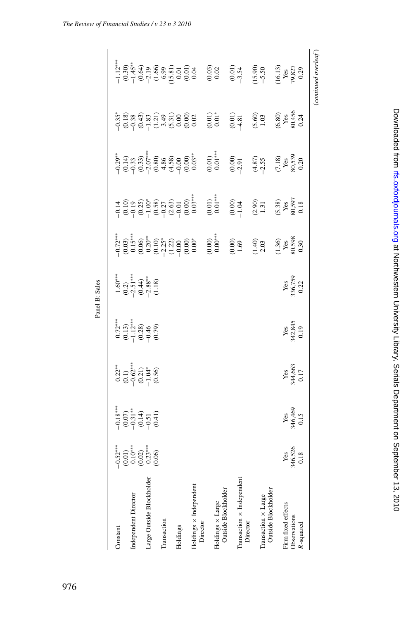|                                              |                                                                 |                                                                                                                                                                                                                                                                                                                                                                                                                  |                                                                   |                                                                    | Panel B: Sales                                                           |                                  |                                                                       |                                                                                                                                                                                                                                                                                                                                                         |                                     |                                                                      |
|----------------------------------------------|-----------------------------------------------------------------|------------------------------------------------------------------------------------------------------------------------------------------------------------------------------------------------------------------------------------------------------------------------------------------------------------------------------------------------------------------------------------------------------------------|-------------------------------------------------------------------|--------------------------------------------------------------------|--------------------------------------------------------------------------|----------------------------------|-----------------------------------------------------------------------|---------------------------------------------------------------------------------------------------------------------------------------------------------------------------------------------------------------------------------------------------------------------------------------------------------------------------------------------------------|-------------------------------------|----------------------------------------------------------------------|
| Constant                                     |                                                                 |                                                                                                                                                                                                                                                                                                                                                                                                                  |                                                                   |                                                                    |                                                                          |                                  |                                                                       |                                                                                                                                                                                                                                                                                                                                                         |                                     |                                                                      |
| Independent Director                         | $-0.52***$<br>$-0.01$<br>$-0.10***$<br>$-0.23***$<br>$-0.23***$ | $\begin{array}{l} \text{18}^{\ast\ast} \\ \text{-0.07} \\ \text{-0.31} \\ \text{-0.51} \\ \text{-0.51} \\ \text{-0.51} \\ \text{-0.51} \\ \text{-0.52} \\ \text{-0.53} \\ \text{-0.54} \\ \text{-0.54} \\ \text{-0.54} \\ \text{-0.54} \\ \text{-0.54} \\ \text{-0.54} \\ \text{-0.54} \\ \text{-0.54} \\ \text{-0.54} \\ \text{-0.54} \\ \text{-0.54} \\ \text{-0.54} \\ \text{-0.54} \\ \text{-0.54} \\ \text$ | $0.27$<br>$0.1$<br>$0.67$<br>$0.21$<br>$0.34$<br>$0.56$<br>$0.56$ | $0.72$<br>$+1.12$<br>$-1.12$<br>$-1.03$<br>$-0.46$<br>$-0.79$      | $1.60***$<br>$(0.2)$<br>$-2.51***$<br>$(0.44)$<br>$-2.88***$<br>$(1.18)$ |                                  |                                                                       |                                                                                                                                                                                                                                                                                                                                                         |                                     |                                                                      |
|                                              |                                                                 |                                                                                                                                                                                                                                                                                                                                                                                                                  |                                                                   |                                                                    |                                                                          |                                  |                                                                       |                                                                                                                                                                                                                                                                                                                                                         |                                     |                                                                      |
| Large Outside Blockholder                    |                                                                 |                                                                                                                                                                                                                                                                                                                                                                                                                  |                                                                   |                                                                    |                                                                          |                                  |                                                                       |                                                                                                                                                                                                                                                                                                                                                         |                                     |                                                                      |
| Transaction                                  |                                                                 |                                                                                                                                                                                                                                                                                                                                                                                                                  |                                                                   |                                                                    |                                                                          |                                  |                                                                       |                                                                                                                                                                                                                                                                                                                                                         |                                     |                                                                      |
| Holdings                                     |                                                                 |                                                                                                                                                                                                                                                                                                                                                                                                                  |                                                                   |                                                                    |                                                                          |                                  |                                                                       |                                                                                                                                                                                                                                                                                                                                                         |                                     |                                                                      |
|                                              |                                                                 |                                                                                                                                                                                                                                                                                                                                                                                                                  |                                                                   |                                                                    |                                                                          |                                  |                                                                       |                                                                                                                                                                                                                                                                                                                                                         |                                     |                                                                      |
| $H$ oldings $\times$ Independent<br>Director |                                                                 |                                                                                                                                                                                                                                                                                                                                                                                                                  |                                                                   |                                                                    |                                                                          |                                  |                                                                       | $\begin{array}{l} \n 3^* \\  2^* \\  14 \\  3^* \\  3^* \\  4^* \\  5^* \\  6^* \\  7^* \\  8^* \\  8^* \\  9^* \\  14^* \\  9^* \\  16^* \\  9^* \\  17^* \\  18^* \\  19^* \\  19^* \\  19^* \\  19^* \\  19^* \\  19^* \\  19^* \\  19^* \\  19^* \\  19^* \\  19^* \\  19^* \\  19^* \\  19^* \\  19^* \\  19^* \\  19^* \\  19^* \\  19^* \\  19^$ |                                     |                                                                      |
|                                              |                                                                 |                                                                                                                                                                                                                                                                                                                                                                                                                  |                                                                   |                                                                    |                                                                          |                                  |                                                                       |                                                                                                                                                                                                                                                                                                                                                         |                                     |                                                                      |
| Outside Blockholder<br>Holdings × Large      |                                                                 |                                                                                                                                                                                                                                                                                                                                                                                                                  |                                                                   |                                                                    |                                                                          |                                  |                                                                       |                                                                                                                                                                                                                                                                                                                                                         |                                     |                                                                      |
|                                              |                                                                 |                                                                                                                                                                                                                                                                                                                                                                                                                  |                                                                   |                                                                    |                                                                          |                                  |                                                                       |                                                                                                                                                                                                                                                                                                                                                         |                                     |                                                                      |
| Transaction × Independent                    |                                                                 |                                                                                                                                                                                                                                                                                                                                                                                                                  |                                                                   |                                                                    |                                                                          |                                  |                                                                       |                                                                                                                                                                                                                                                                                                                                                         |                                     |                                                                      |
| Director                                     |                                                                 |                                                                                                                                                                                                                                                                                                                                                                                                                  |                                                                   |                                                                    |                                                                          |                                  |                                                                       |                                                                                                                                                                                                                                                                                                                                                         |                                     |                                                                      |
| Transaction × Large                          |                                                                 |                                                                                                                                                                                                                                                                                                                                                                                                                  |                                                                   |                                                                    |                                                                          |                                  |                                                                       |                                                                                                                                                                                                                                                                                                                                                         | (5.60)                              |                                                                      |
| Outside Blockholder                          |                                                                 |                                                                                                                                                                                                                                                                                                                                                                                                                  |                                                                   |                                                                    |                                                                          |                                  |                                                                       |                                                                                                                                                                                                                                                                                                                                                         |                                     |                                                                      |
|                                              |                                                                 |                                                                                                                                                                                                                                                                                                                                                                                                                  |                                                                   |                                                                    |                                                                          |                                  |                                                                       |                                                                                                                                                                                                                                                                                                                                                         |                                     |                                                                      |
| Firm fixed effects                           |                                                                 |                                                                                                                                                                                                                                                                                                                                                                                                                  |                                                                   |                                                                    |                                                                          |                                  |                                                                       |                                                                                                                                                                                                                                                                                                                                                         |                                     |                                                                      |
| Observations                                 | $\frac{Yes}{346,526}$                                           | Yes<br>346,469<br>0.15                                                                                                                                                                                                                                                                                                                                                                                           | $\frac{Y_{CS}}{0.17}$                                             | $\begin{array}{c}\n Y_{\rm CS} \\  142,845 \\  0.19\n \end{array}$ | Yes<br>136,759<br>0.22                                                   | $(1.36)$<br>$(1.39)$<br>$(3.30)$ | $\begin{array}{c} (5.38) \\ \text{Yes} \\ 80.597 \\ 0.18 \end{array}$ | $(7.18)$<br>$X_{65,30}$<br>$0.20$                                                                                                                                                                                                                                                                                                                       | $(6.80)$<br>Yes<br>$80,456$<br>0.24 | $\begin{array}{c} 16.13 \\ \text{Yes} \\ 79,827 \\ 0.29 \end{array}$ |
| R-squared                                    |                                                                 |                                                                                                                                                                                                                                                                                                                                                                                                                  |                                                                   |                                                                    |                                                                          |                                  |                                                                       |                                                                                                                                                                                                                                                                                                                                                         |                                     |                                                                      |
|                                              |                                                                 |                                                                                                                                                                                                                                                                                                                                                                                                                  |                                                                   |                                                                    |                                                                          |                                  |                                                                       |                                                                                                                                                                                                                                                                                                                                                         |                                     | continued overleaf                                                   |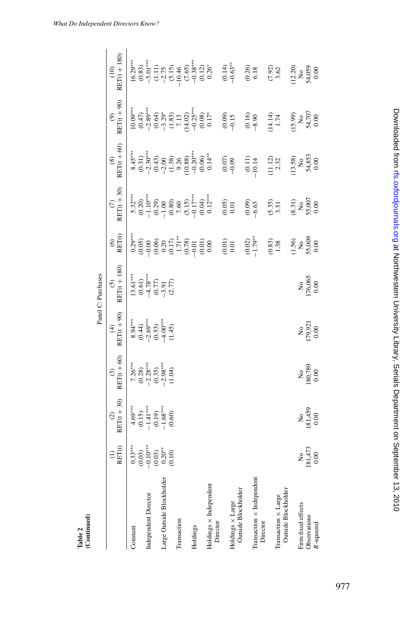|                                              |                                                                    |                                                                |                                                                    |                                                   | Panel C: Purchases                                                                                   |                                                                                                                                     |                                                                                                                                                                                        |                                                                                                                                                   |                                                                                                                                                                                                                                                                                                               |                                                                                                                                                                                                                                                      |
|----------------------------------------------|--------------------------------------------------------------------|----------------------------------------------------------------|--------------------------------------------------------------------|---------------------------------------------------|------------------------------------------------------------------------------------------------------|-------------------------------------------------------------------------------------------------------------------------------------|----------------------------------------------------------------------------------------------------------------------------------------------------------------------------------------|---------------------------------------------------------------------------------------------------------------------------------------------------|---------------------------------------------------------------------------------------------------------------------------------------------------------------------------------------------------------------------------------------------------------------------------------------------------------------|------------------------------------------------------------------------------------------------------------------------------------------------------------------------------------------------------------------------------------------------------|
|                                              | $\frac{(1)}{RET(t)}$                                               | $\begin{array}{c} (2) \\ RET(t+30) \end{array}$                | (3)<br>RET(t + 60)                                                 | (4)<br>RET(t + 90)                                | $\begin{array}{c} (5) \\ \text{RET}(t+180) \end{array}$                                              | $\frac{6}{R}$                                                                                                                       | $(T)$<br>RET(t + 30)                                                                                                                                                                   | $RET(t + 60)$<br>$\circledast$                                                                                                                    | $\begin{array}{c} (9) \\ {\rm RET}(t+90) \end{array}$                                                                                                                                                                                                                                                         | $RET(t + 180)$<br>(10)                                                                                                                                                                                                                               |
| Constant                                     |                                                                    | $4.69***$                                                      |                                                                    |                                                   |                                                                                                      |                                                                                                                                     |                                                                                                                                                                                        |                                                                                                                                                   |                                                                                                                                                                                                                                                                                                               |                                                                                                                                                                                                                                                      |
| Independent Director                         | $0.33$<br>$0.63$<br>$0.63$<br>$0.63$<br>$0.63$<br>$0.10$<br>$0.10$ | $(0.15)$<br>$-1.41***$<br>$(0.19)$<br>$-1.68***$<br>$-1.68***$ | $7.26$ $7.26$ $0.28$ $0.38$ $0.35$ $0.39$ $0.39$ $0.04$ $0.04$     | $8.94***\n(0.44)\n(0.53)\n(0.53)\n(1.45)\n(1.45)$ | $\begin{array}{l} 13.61^{***} \\ (0.61) \\ (0.78^{***} \\ (0.77) \\ (0.77) \\ (2.77) \\ \end{array}$ |                                                                                                                                     |                                                                                                                                                                                        |                                                                                                                                                   |                                                                                                                                                                                                                                                                                                               |                                                                                                                                                                                                                                                      |
|                                              |                                                                    |                                                                |                                                                    |                                                   |                                                                                                      |                                                                                                                                     |                                                                                                                                                                                        |                                                                                                                                                   |                                                                                                                                                                                                                                                                                                               |                                                                                                                                                                                                                                                      |
| Large Outside Blockholder                    |                                                                    |                                                                |                                                                    |                                                   |                                                                                                      |                                                                                                                                     |                                                                                                                                                                                        |                                                                                                                                                   |                                                                                                                                                                                                                                                                                                               |                                                                                                                                                                                                                                                      |
| Transaction                                  |                                                                    |                                                                |                                                                    |                                                   |                                                                                                      | $(3, 0.05)$<br>$(0.05)$<br>$(0.05)$<br>$(0.05)$<br>$(0.05)$<br>$(0.05)$<br>$(0.05)$<br>$(0.05)$<br>$(0.05)$<br>$(0.05)$<br>$(0.05)$ | $\begin{array}{l} 5.32^{***} \\ 5.32^{***} \\ 0.20 \\ -1.10^{***} \\ 0.29 \\ -1.03 \\ 0.00 \\ -1.03 \\ 0.00 \\ -1.03 \\ 0.00 \\ -1.03 \\ 0.00 \\ -1.03 \\ 0.01 \\ 0.03 \\ \end{array}$ | $8.45$ $4.5$ $8.45$ $6.71$ $6.71$ $6.71$ $6.71$ $6.71$ $6.71$ $6.71$ $6.71$ $6.71$ $6.71$ $6.71$ $6.71$ $6.71$ $6.71$ $6.71$ $6.71$ $6.71$ $6.71$ | $\begin{array}{l} 10.0^{3*}\\ 20.0^{4*}\\ 3.8^{3*}\\ 47,10^{4*}\\ 5.8^{3*}\\ 64,10^{2*}\\ 7,11^{2*}\\ 7,11^{2*}\\ 7,12^{2*}\\ 7,13^{2*}\\ 7,14^{2*}\\ 7,15^{2*}\\ 7,16^{2*}\\ 7,17^{2*}\\ 7,17^{2*}\\ 7,17^{2*}\\ 7,17^{2*}\\ 7,17^{2*}\\ 7,17^{2*}\\ 7,17^{2*}\\ 7,17^{2*}\\ 7,17^{2*}\\ 7,17^{2*}\\ 7,17^{$ | 16.29 **<br>$(0.83)$<br>$(-5.01)$ **<br>$(-1.11)$<br>$(-1.11)$<br>$(-1.11)$<br>$(-1.11)$<br>$(-1.11)$<br>$(-1.11)$<br>$(-1.11)$<br>$(-1.11)$<br>$(-1.11)$<br>$(-1.11)$<br>$(-1.11)$<br>$(-1.11)$<br>$(-1.11)$<br>$(-1.11)$<br>$(-1.11)$<br>$(-1.11)$ |
| Holdings                                     |                                                                    |                                                                |                                                                    |                                                   |                                                                                                      |                                                                                                                                     |                                                                                                                                                                                        |                                                                                                                                                   |                                                                                                                                                                                                                                                                                                               |                                                                                                                                                                                                                                                      |
|                                              |                                                                    |                                                                |                                                                    |                                                   |                                                                                                      |                                                                                                                                     |                                                                                                                                                                                        |                                                                                                                                                   |                                                                                                                                                                                                                                                                                                               |                                                                                                                                                                                                                                                      |
| $H$ oldings $\times$ Independent<br>Director |                                                                    |                                                                |                                                                    |                                                   |                                                                                                      |                                                                                                                                     |                                                                                                                                                                                        |                                                                                                                                                   |                                                                                                                                                                                                                                                                                                               |                                                                                                                                                                                                                                                      |
|                                              |                                                                    |                                                                |                                                                    |                                                   |                                                                                                      | $\begin{array}{c} 0.01 \\ 0.01 \end{array}$                                                                                         | $\begin{array}{c} (0.05) \\ 0.01 \end{array}$                                                                                                                                          | (0.07)                                                                                                                                            |                                                                                                                                                                                                                                                                                                               | $(0.14)$<br>-0.63**                                                                                                                                                                                                                                  |
| Outside Blockholder<br>Holdings × Large      |                                                                    |                                                                |                                                                    |                                                   |                                                                                                      |                                                                                                                                     |                                                                                                                                                                                        |                                                                                                                                                   | (0.09)                                                                                                                                                                                                                                                                                                        |                                                                                                                                                                                                                                                      |
|                                              |                                                                    |                                                                |                                                                    |                                                   |                                                                                                      |                                                                                                                                     |                                                                                                                                                                                        |                                                                                                                                                   |                                                                                                                                                                                                                                                                                                               |                                                                                                                                                                                                                                                      |
| Transaction × Independent<br>Director        |                                                                    |                                                                |                                                                    |                                                   |                                                                                                      | $(0.02)$<br>-1.79**                                                                                                                 | (0.09)                                                                                                                                                                                 | $\begin{array}{c} (0.11) \\ 10.14 \end{array}$                                                                                                    | $\begin{array}{c} (0.16) \\ -8.90 \end{array}$                                                                                                                                                                                                                                                                | $\begin{array}{c} 0.26 \\ 6.18 \end{array}$                                                                                                                                                                                                          |
|                                              |                                                                    |                                                                |                                                                    |                                                   |                                                                                                      |                                                                                                                                     |                                                                                                                                                                                        |                                                                                                                                                   |                                                                                                                                                                                                                                                                                                               |                                                                                                                                                                                                                                                      |
| Outside Blockholder<br>Transaction × Large   |                                                                    |                                                                |                                                                    |                                                   |                                                                                                      | $\begin{array}{c} (0.83) \\ 1.38 \end{array}$                                                                                       | $(5.35)$<br>$3.51$                                                                                                                                                                     | $(11.12)$<br>2.32                                                                                                                                 | $(14.14)$<br>1.74                                                                                                                                                                                                                                                                                             | $(7.92)$<br>3.62                                                                                                                                                                                                                                     |
|                                              |                                                                    |                                                                |                                                                    |                                                   |                                                                                                      |                                                                                                                                     |                                                                                                                                                                                        | (13.58)                                                                                                                                           |                                                                                                                                                                                                                                                                                                               |                                                                                                                                                                                                                                                      |
| Firm fixed effects                           |                                                                    |                                                                |                                                                    |                                                   | 2                                                                                                    |                                                                                                                                     |                                                                                                                                                                                        |                                                                                                                                                   |                                                                                                                                                                                                                                                                                                               |                                                                                                                                                                                                                                                      |
| Observations<br>R-squared                    | $\frac{N_0}{181,473}$                                              | No<br>181,459<br>0.00                                          | $\begin{array}{c} \tt{No} \\ \tt{80,789} \\ \tt{0.00} \end{array}$ | $\frac{N_0}{179,921}$                             | 176,065<br>0.00                                                                                      | $(1.56)$<br>$(1.56)$<br>$(5.00)$<br>$(0.00)$                                                                                        | $(8.31)$<br>$X_9$<br>$X_9$ ,007<br>$0.00$                                                                                                                                              | $\begin{array}{c} \text{No} \\ 54,853 \\ 0.00 \end{array}$                                                                                        | $\begin{array}{c} 15.99 \\ \text{No} \\ 54,707 \\ 0.00 \end{array}$                                                                                                                                                                                                                                           | $\begin{array}{c} 12.20 \\ \text{N}_0 \\ 54.059 \\ 0.00 \end{array}$                                                                                                                                                                                 |

Table 2<br>**(Continued) (Continued)**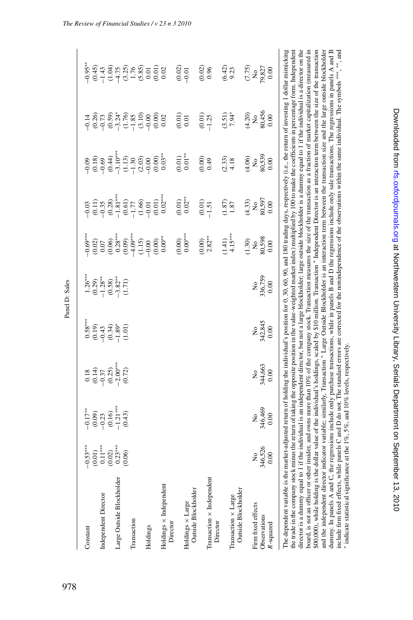|                                                                                                                                                                                                                                                                                                                                                                                                                                                                                                                                                                                                                                                                                                                                                                                                                                                                                                                                                                                                                                             |                              |                           |                                                          |                                                                               | Panel D: Sales                                                                        |                                                                                        |                                                                                              |                                                                    |                   |                                                                                                                                                                                                                                                                                |
|---------------------------------------------------------------------------------------------------------------------------------------------------------------------------------------------------------------------------------------------------------------------------------------------------------------------------------------------------------------------------------------------------------------------------------------------------------------------------------------------------------------------------------------------------------------------------------------------------------------------------------------------------------------------------------------------------------------------------------------------------------------------------------------------------------------------------------------------------------------------------------------------------------------------------------------------------------------------------------------------------------------------------------------------|------------------------------|---------------------------|----------------------------------------------------------|-------------------------------------------------------------------------------|---------------------------------------------------------------------------------------|----------------------------------------------------------------------------------------|----------------------------------------------------------------------------------------------|--------------------------------------------------------------------|-------------------|--------------------------------------------------------------------------------------------------------------------------------------------------------------------------------------------------------------------------------------------------------------------------------|
| Constant                                                                                                                                                                                                                                                                                                                                                                                                                                                                                                                                                                                                                                                                                                                                                                                                                                                                                                                                                                                                                                    | $-0.53***$                   | $-0.17**$                 | 0.18                                                     | $0.58***$                                                                     | $1.26***$                                                                             | $-0.69***$                                                                             | $-0.03$                                                                                      |                                                                    |                   |                                                                                                                                                                                                                                                                                |
| Independent Director                                                                                                                                                                                                                                                                                                                                                                                                                                                                                                                                                                                                                                                                                                                                                                                                                                                                                                                                                                                                                        | $0.11***$<br>(0.01)          | (0.09)                    |                                                          |                                                                               |                                                                                       |                                                                                        |                                                                                              |                                                                    |                   |                                                                                                                                                                                                                                                                                |
| Large Outside Blockholder                                                                                                                                                                                                                                                                                                                                                                                                                                                                                                                                                                                                                                                                                                                                                                                                                                                                                                                                                                                                                   | $(0.02)$<br>0.23***<br>0.06) | $\frac{(0.16)}{-1.21***}$ | $(0.14)$<br>$-0.37$<br>$-0.25$<br>$-2.00***$<br>$(0.72)$ | $\begin{array}{c} 9,9,9,9,0 \\ 6,9,9,9,0 \\ 6,9,9,0 \\ -1,0,0 \\ \end{array}$ | $\begin{array}{c} (0.29) \\ -1.28^{**} \\ (0.58) \\ -3.82^{**} \\ (1.71) \end{array}$ | $0.02$<br>$0.05$<br>$0.06$<br>$0.06$<br>$0.05$<br>$0.05$<br>$0.05$<br>$0.05$<br>$0.05$ | $(0.11)$<br>$(0.35)$<br>$(0.28)$<br>$(0.61)$<br>$(0.61)$<br>$(1.77)$<br>$(0.60)$<br>$(1.60)$ | $(0.44)$<br>$-3.10***$<br>$-1.30$<br>$-1.30$<br>$-1.30$<br>$-0.00$ |                   | $-6.64$<br>$-6.64$<br>$-6.64$<br>$-6.64$<br>$-6.64$<br>$-6.64$<br>$-6.64$<br>$-6.64$<br>$-6.64$<br>$-6.64$<br>$-6.64$<br>$-6.64$<br>$-6.64$<br>$-6.64$<br>$-6.64$<br>$-6.64$<br>$-6.64$<br>$-6.64$<br>$-6.64$<br>$-6.64$<br>$-6.64$<br>$-6.64$<br>$-6.64$<br>$-6.64$<br>$-6.6$ |
|                                                                                                                                                                                                                                                                                                                                                                                                                                                                                                                                                                                                                                                                                                                                                                                                                                                                                                                                                                                                                                             |                              | (0.43)                    |                                                          |                                                                               |                                                                                       |                                                                                        |                                                                                              |                                                                    |                   |                                                                                                                                                                                                                                                                                |
| Transaction                                                                                                                                                                                                                                                                                                                                                                                                                                                                                                                                                                                                                                                                                                                                                                                                                                                                                                                                                                                                                                 |                              |                           |                                                          |                                                                               |                                                                                       |                                                                                        |                                                                                              |                                                                    |                   |                                                                                                                                                                                                                                                                                |
| Holdings                                                                                                                                                                                                                                                                                                                                                                                                                                                                                                                                                                                                                                                                                                                                                                                                                                                                                                                                                                                                                                    |                              |                           |                                                          |                                                                               |                                                                                       | (1.15)                                                                                 |                                                                                              |                                                                    | (0.00)            |                                                                                                                                                                                                                                                                                |
| $H$ oldings $\times$ Independent<br>Director                                                                                                                                                                                                                                                                                                                                                                                                                                                                                                                                                                                                                                                                                                                                                                                                                                                                                                                                                                                                |                              |                           |                                                          |                                                                               |                                                                                       | $\begin{array}{c} 0.00 \\ 0.00^{**} \end{array}$                                       | $^{(0.01)}_{0.02***}$                                                                        | $(0.00)$<br>$0.03**$                                               | 0.02              |                                                                                                                                                                                                                                                                                |
|                                                                                                                                                                                                                                                                                                                                                                                                                                                                                                                                                                                                                                                                                                                                                                                                                                                                                                                                                                                                                                             |                              |                           |                                                          |                                                                               |                                                                                       | (0.00)                                                                                 | (0.01)                                                                                       | $^{(0.01)}_{0.01**}$                                               | (0.01)            | (0.02)                                                                                                                                                                                                                                                                         |
| Outside Blockholder<br>Holdings × Large                                                                                                                                                                                                                                                                                                                                                                                                                                                                                                                                                                                                                                                                                                                                                                                                                                                                                                                                                                                                     |                              |                           |                                                          |                                                                               |                                                                                       | $0.00***$                                                                              | $0.02**$                                                                                     |                                                                    | $0.01\,$          |                                                                                                                                                                                                                                                                                |
|                                                                                                                                                                                                                                                                                                                                                                                                                                                                                                                                                                                                                                                                                                                                                                                                                                                                                                                                                                                                                                             |                              |                           |                                                          |                                                                               |                                                                                       | (0.00)                                                                                 | (0.01)                                                                                       | (0.00)                                                             | (0.01)            | (0.02)                                                                                                                                                                                                                                                                         |
| Transaction × Independent<br>Director                                                                                                                                                                                                                                                                                                                                                                                                                                                                                                                                                                                                                                                                                                                                                                                                                                                                                                                                                                                                       |                              |                           |                                                          |                                                                               |                                                                                       | $2.82**$                                                                               | $-1.51$                                                                                      | 64.0                                                               | $-1.25$           | 0.96                                                                                                                                                                                                                                                                           |
|                                                                                                                                                                                                                                                                                                                                                                                                                                                                                                                                                                                                                                                                                                                                                                                                                                                                                                                                                                                                                                             |                              |                           |                                                          |                                                                               |                                                                                       | (1.41)                                                                                 | (1.87)                                                                                       | (2.33)                                                             | $(3.51)$<br>7.94* | (6.42)                                                                                                                                                                                                                                                                         |
| Outside Blockholder<br>Transaction × Large                                                                                                                                                                                                                                                                                                                                                                                                                                                                                                                                                                                                                                                                                                                                                                                                                                                                                                                                                                                                  |                              |                           |                                                          |                                                                               |                                                                                       | $4.15***$                                                                              | 1.87                                                                                         | 4.18                                                               |                   | 9.23                                                                                                                                                                                                                                                                           |
|                                                                                                                                                                                                                                                                                                                                                                                                                                                                                                                                                                                                                                                                                                                                                                                                                                                                                                                                                                                                                                             |                              |                           |                                                          |                                                                               |                                                                                       | (1.30)                                                                                 | (4.33)                                                                                       | (4.06)                                                             | (4.20)            | (7.75)                                                                                                                                                                                                                                                                         |
| Firm fixed effects                                                                                                                                                                                                                                                                                                                                                                                                                                                                                                                                                                                                                                                                                                                                                                                                                                                                                                                                                                                                                          | $\frac{1}{2}$                | ż                         | $\frac{1}{2}$                                            | No<br>342,845                                                                 | ż                                                                                     | No<br>80,598                                                                           | $_{80,597}^{\rm No}$                                                                         | No<br>80,539                                                       | No<br>80,456      | $\frac{N_0}{79,827}$                                                                                                                                                                                                                                                           |
| Observations                                                                                                                                                                                                                                                                                                                                                                                                                                                                                                                                                                                                                                                                                                                                                                                                                                                                                                                                                                                                                                | 346,526                      | 346,469                   | 344,663                                                  |                                                                               | 336,759                                                                               |                                                                                        |                                                                                              |                                                                    |                   |                                                                                                                                                                                                                                                                                |
| R-squared                                                                                                                                                                                                                                                                                                                                                                                                                                                                                                                                                                                                                                                                                                                                                                                                                                                                                                                                                                                                                                   | 0.00                         | 0.00                      | $0.00$                                                   | $0.00$                                                                        | 0.00                                                                                  | 0.00                                                                                   | 0.00                                                                                         | 0.00                                                               | 0.00              |                                                                                                                                                                                                                                                                                |
| the trade in the company stock minus the return of taking the opposite position in the value-weighted market index) multiplied by 100 to make the coefficients in percentage form. Independent<br>director is a dummy equal to 1 if the individual is an independent director, but not a large blockholder; large outside blockholder is a dummy equal to 1 if the individual is a director on the<br>The dependent variable is the market-adjusted return of holding the individual's position for 0, 30, 60, 90, and 180 trading days, respectively (i.e., the return of investing 1 dollar mimicking<br>\$00,000), while holding is the dollar value of the individual's holdings, scaled by \$10 million. Transaction * Independent Director is an interaction term between the size of the transaction<br>and the independent director indicator variable; similarly, Transaction * Large Outside Blockholder is an interaction term between the transaction size and the large outside blockholder<br>board, is not an officer or otl |                              |                           |                                                          |                                                                               |                                                                                       |                                                                                        |                                                                                              |                                                                    |                   | her insider, and owns more than 10% of the company stock. Transaction measures the size of the transaction as a fraction of market capitalization (measured in                                                                                                                 |
| dummy. In panels A and C, the regressions include only purchase transactions, while in panels B and D the regressions include only sale transactions. The regressions in panels A and B<br>include firm fixed effects, while panels C and D do not. The standard errors are corrected for the nonindependence of the observations within the same individual. The symbols ***, and                                                                                                                                                                                                                                                                                                                                                                                                                                                                                                                                                                                                                                                          |                              |                           |                                                          |                                                                               |                                                                                       |                                                                                        |                                                                                              |                                                                    |                   |                                                                                                                                                                                                                                                                                |

*\** indicate statistical significance at the 1%, 5%, and 10% levels, respectively. indicate statistical significance at the 1%, 5%, and 10% levels, respectively.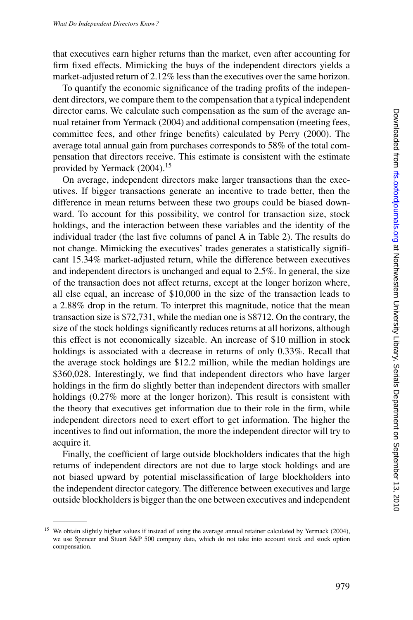that executives earn higher returns than the market, even after accounting for firm fixed effects. Mimicking the buys of the independent directors yields a market-adjusted return of 2.12% less than the executives over the same horizon.

To quantify the economic significance of the trading profits of the independent directors, we compare them to the compensation that a typical independent director earns. We calculate such compensation as the sum of the average annual retainer from Yermack (2004) and additional compensation (meeting fees, committee fees, and other fringe benefits) calculated by Perry (2000). The average total annual gain from purchases corresponds to 58% of the total compensation that directors receive. This estimate is consistent with the estimate provided by Yermack (2004).<sup>15</sup>

On average, independent directors make larger transactions than the executives. If bigger transactions generate an incentive to trade better, then the difference in mean returns between these two groups could be biased downward. To account for this possibility, we control for transaction size, stock holdings, and the interaction between these variables and the identity of the individual trader (the last five columns of panel A in Table 2). The results do not change. Mimicking the executives' trades generates a statistically significant 15.34% market-adjusted return, while the difference between executives and independent directors is unchanged and equal to 2.5%. In general, the size of the transaction does not affect returns, except at the longer horizon where, all else equal, an increase of \$10,000 in the size of the transaction leads to a 2.88% drop in the return. To interpret this magnitude, notice that the mean transaction size is \$72,731, while the median one is \$8712. On the contrary, the size of the stock holdings significantly reduces returns at all horizons, although this effect is not economically sizeable. An increase of \$10 million in stock holdings is associated with a decrease in returns of only 0.33%. Recall that the average stock holdings are \$12.2 million, while the median holdings are \$360,028. Interestingly, we find that independent directors who have larger holdings in the firm do slightly better than independent directors with smaller holdings (0.27% more at the longer horizon). This result is consistent with the theory that executives get information due to their role in the firm, while independent directors need to exert effort to get information. The higher the incentives to find out information, the more the independent director will try to acquire it.

Finally, the coefficient of large outside blockholders indicates that the high returns of independent directors are not due to large stock holdings and are not biased upward by potential misclassification of large blockholders into the independent director category. The difference between executives and large outside blockholders is bigger than the one between executives and independent

<sup>&</sup>lt;sup>15</sup> We obtain slightly higher values if instead of using the average annual retainer calculated by Yermack (2004), we use Spencer and Stuart S&P 500 company data, which do not take into account stock and stock option compensation.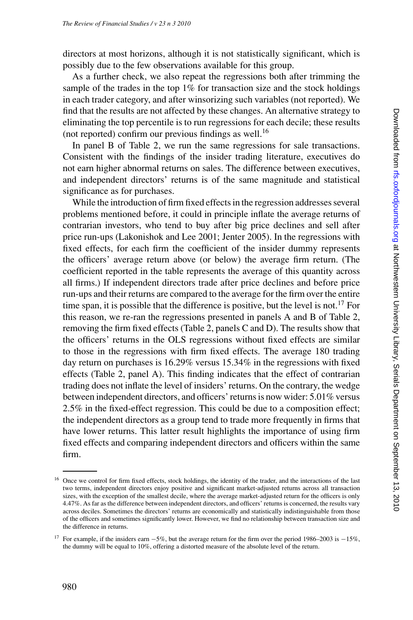directors at most horizons, although it is not statistically significant, which is possibly due to the few observations available for this group.

As a further check, we also repeat the regressions both after trimming the sample of the trades in the top 1% for transaction size and the stock holdings in each trader category, and after winsorizing such variables (not reported). We find that the results are not affected by these changes. An alternative strategy to eliminating the top percentile is to run regressions for each decile; these results (not reported) confirm our previous findings as well.<sup>16</sup>

In panel B of Table 2, we run the same regressions for sale transactions. Consistent with the findings of the insider trading literature, executives do not earn higher abnormal returns on sales. The difference between executives, and independent directors' returns is of the same magnitude and statistical significance as for purchases.

While the introduction of firm fixed effects in the regression addresses several problems mentioned before, it could in principle inflate the average returns of contrarian investors, who tend to buy after big price declines and sell after price run-ups (Lakonishok and Lee 2001; Jenter 2005). In the regressions with fixed effects, for each firm the coefficient of the insider dummy represents the officers' average return above (or below) the average firm return. (The coefficient reported in the table represents the average of this quantity across all firms.) If independent directors trade after price declines and before price run-ups and their returns are compared to the average for the firm over the entire time span, it is possible that the difference is positive, but the level is not.<sup>17</sup> For this reason, we re-ran the regressions presented in panels A and B of Table 2, removing the firm fixed effects (Table 2, panels C and D). The results show that the officers' returns in the OLS regressions without fixed effects are similar to those in the regressions with firm fixed effects. The average 180 trading day return on purchases is 16.29% versus 15.34% in the regressions with fixed effects (Table 2, panel A). This finding indicates that the effect of contrarian trading does not inflate the level of insiders' returns. On the contrary, the wedge between independent directors, and officers' returns is now wider: 5.01% versus 2.5% in the fixed-effect regression. This could be due to a composition effect; the independent directors as a group tend to trade more frequently in firms that have lower returns. This latter result highlights the importance of using firm fixed effects and comparing independent directors and officers within the same firm.

<sup>&</sup>lt;sup>16</sup> Once we control for firm fixed effects, stock holdings, the identity of the trader, and the interactions of the last two terms, independent directors enjoy positive and significant market-adjusted returns across all transaction sizes, with the exception of the smallest decile, where the average market-adjusted return for the officers is only 4.47%. As far as the difference between independent directors, and officers' returns is concerned, the results vary across deciles. Sometimes the directors' returns are economically and statistically indistinguishable from those of the officers and sometimes significantly lower. However, we find no relationship between transaction size and the difference in returns.

<sup>&</sup>lt;sup>17</sup> For example, if the insiders earn  $-5\%$ , but the average return for the firm over the period 1986–2003 is  $-15\%$ , the dummy will be equal to 10%, offering a distorted measure of the absolute level of the return.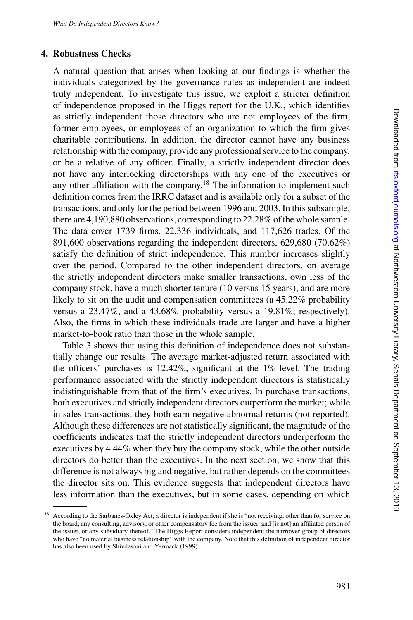## **4. Robustness Checks**

A natural question that arises when looking at our findings is whether the individuals categorized by the governance rules as independent are indeed truly independent. To investigate this issue, we exploit a stricter definition of independence proposed in the Higgs report for the U.K., which identifies as strictly independent those directors who are not employees of the firm, former employees, or employees of an organization to which the firm gives charitable contributions. In addition, the director cannot have any business relationship with the company, provide any professional service to the company, or be a relative of any officer. Finally, a strictly independent director does not have any interlocking directorships with any one of the executives or any other affiliation with the company.<sup>18</sup> The information to implement such definition comes from the IRRC dataset and is available only for a subset of the transactions, and only for the period between 1996 and 2003. In this subsample, there are 4,190,880 observations, corresponding to 22.28% of the whole sample. The data cover 1739 firms, 22,336 individuals, and 117,626 trades. Of the 891,600 observations regarding the independent directors, 629,680 (70.62%) satisfy the definition of strict independence. This number increases slightly over the period. Compared to the other independent directors, on average the strictly independent directors make smaller transactions, own less of the company stock, have a much shorter tenure (10 versus 15 years), and are more likely to sit on the audit and compensation committees (a 45.22% probability versus a 23.47%, and a 43.68% probability versus a 19.81%, respectively). Also, the firms in which these individuals trade are larger and have a higher market-to-book ratio than those in the whole sample.

Table 3 shows that using this definition of independence does not substantially change our results. The average market-adjusted return associated with the officers' purchases is 12.42%, significant at the 1% level. The trading performance associated with the strictly independent directors is statistically indistinguishable from that of the firm's executives. In purchase transactions, both executives and strictly independent directors outperform the market; while in sales transactions, they both earn negative abnormal returns (not reported). Although these differences are not statistically significant, the magnitude of the coefficients indicates that the strictly independent directors underperform the executives by 4.44% when they buy the company stock, while the other outside directors do better than the executives. In the next section, we show that this difference is not always big and negative, but rather depends on the committees the director sits on. This evidence suggests that independent directors have less information than the executives, but in some cases, depending on which

<sup>&</sup>lt;sup>18</sup> According to the Sarbanes-Oxley Act, a director is independent if she is "not receiving, other than for service on the board, any consulting, advisory, or other compensatory fee from the issuer, and [is not] an affiliated person of the issuer, or any subsidiary thereof." The Higgs Report considers independent the narrower group of directors who have "no material business relationship" with the company. Note that this definition of independent director has also been used by Shivdasani and Yermack (1999).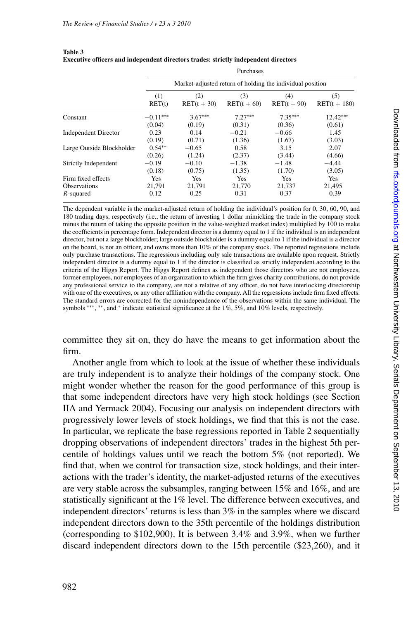|                             |               |                                                           | Purchases          |                      |                       |
|-----------------------------|---------------|-----------------------------------------------------------|--------------------|----------------------|-----------------------|
|                             |               | Market-adjusted return of holding the individual position |                    |                      |                       |
|                             | (1)<br>RET(t) | (2)<br>$RET(t + 30)$                                      | (3)<br>$RET(t+60)$ | (4)<br>$RET(t + 90)$ | (5)<br>$RET(t + 180)$ |
| Constant                    | $-0.11***$    | $3.67***$                                                 | $7.27***$          | $7.35***$            | $12.42***$            |
|                             | (0.04)        | (0.19)                                                    | (0.31)             | (0.36)               | (0.61)                |
| <b>Independent Director</b> | 0.23          | 0.14                                                      | $-0.21$            | $-0.66$              | 1.45                  |
|                             | (0.19)        | (0.71)                                                    | (1.36)             | (1.67)               | (3.03)                |
| Large Outside Blockholder   | $0.54**$      | $-0.65$                                                   | 0.58               | 3.15                 | 2.07                  |
|                             | (0.26)        | (1.24)                                                    | (2.37)             | (3.44)               | (4.66)                |
| Strictly Independent        | $-0.19$       | $-0.10$                                                   | $-1.38$            | $-1.48$              | $-4.44$               |
|                             | (0.18)        | (0.75)                                                    | (1.35)             | (1.70)               | (3.05)                |
| Firm fixed effects          | Yes           | Yes                                                       | <b>Yes</b>         | Yes                  | Yes                   |
| <b>Observations</b>         | 21.791        | 21.791                                                    | 21,770             | 21.737               | 21,495                |
| $R$ -squared                | 0.12          | 0.25                                                      | 0.31               | 0.37                 | 0.39                  |

#### **Table 3 Executive officers and independent directors trades: strictly independent directors**

The dependent variable is the market-adjusted return of holding the individual's position for 0, 30, 60, 90, and 180 trading days, respectively (i.e., the return of investing 1 dollar mimicking the trade in the company stock minus the return of taking the opposite position in the value-weighted market index) multiplied by 100 to make the coefficients in percentage form. Independent director is a dummy equal to 1 if the individual is an independent director, but not a large blockholder; large outside blockholder is a dummy equal to 1 if the individual is a director on the board, is not an officer, and owns more than 10% of the company stock. The reported regressions include only purchase transactions. The regressions including only sale transactions are available upon request. Strictly independent director is a dummy equal to 1 if the director is classified as strictly independent according to the criteria of the Higgs Report. The Higgs Report defines as independent those directors who are not employees, former employees, nor employees of an organization to which the firm gives charity contributions, do not provide any professional service to the company, are not a relative of any officer, do not have interlocking directorship with one of the executives, or any other affiliation with the company. All the regressions include firm fixed effects. The standard errors are corrected for the nonindependence of the observations within the same individual. The symbols <sup>∗∗∗</sup>, <sup>∗∗</sup>, and <sup>∗</sup> indicate statistical significance at the 1%, 5%, and 10% levels, respectively.

committee they sit on, they do have the means to get information about the firm.

Another angle from which to look at the issue of whether these individuals are truly independent is to analyze their holdings of the company stock. One might wonder whether the reason for the good performance of this group is that some independent directors have very high stock holdings (see Section IIA and Yermack 2004). Focusing our analysis on independent directors with progressively lower levels of stock holdings, we find that this is not the case. In particular, we replicate the base regressions reported in Table 2 sequentially dropping observations of independent directors' trades in the highest 5th percentile of holdings values until we reach the bottom 5% (not reported). We find that, when we control for transaction size, stock holdings, and their interactions with the trader's identity, the market-adjusted returns of the executives are very stable across the subsamples, ranging between 15% and 16%, and are statistically significant at the 1% level. The difference between executives, and independent directors' returns is less than 3% in the samples where we discard independent directors down to the 35th percentile of the holdings distribution (corresponding to \$102,900). It is between 3.4% and 3.9%, when we further discard independent directors down to the 15th percentile (\$23,260), and it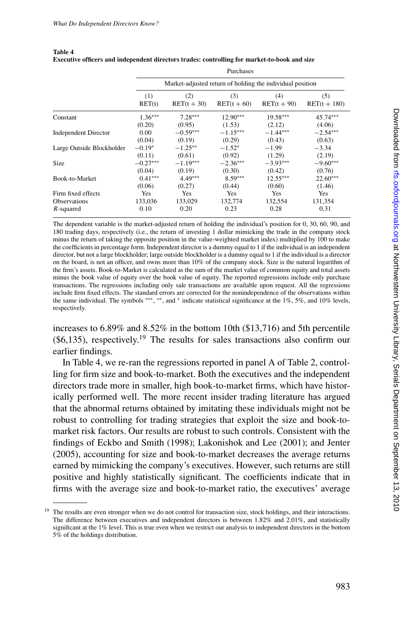|                             |               | Market-adjusted return of holding the individual position |                    |                      |                       |
|-----------------------------|---------------|-----------------------------------------------------------|--------------------|----------------------|-----------------------|
|                             | (1)<br>RET(t) | (2)<br>$RET(t + 30)$                                      | (3)<br>$RET(t+60)$ | (4)<br>$RET(t + 90)$ | (5)<br>$RET(t + 180)$ |
| Constant                    | $1.36***$     | $7.28***$                                                 | $12.90***$         | 19.58***             | 45.74***              |
|                             | (0.20)        | (0.95)                                                    | (1.53)             | (2.12)               | (4.06)                |
| <b>Independent Director</b> | 0.00          | $-0.59***$                                                | $-1.15***$         | $-1.44***$           | $-2.54***$            |
|                             | (0.04)        | (0.19)                                                    | (0.29)             | (0.43)               | (0.63)                |
| Large Outside Blockholder   | $-0.19*$      | $-1.25**$                                                 | $-1.52*$           | $-1.99$              | $-3.34$               |
|                             | (0.11)        | (0.61)                                                    | (0.92)             | (1.29)               | (2.19)                |
| Size                        | $-0.27***$    | $-1.19***$                                                | $-2.36***$         | $-3.93***$           | $-9.60***$            |
|                             | (0.04)        | (0.19)                                                    | (0.30)             | (0.42)               | (0.76)                |
| Book-to-Market              | $0.41***$     | $4.49***$                                                 | $8.59***$          | $12.55***$           | $22.60***$            |
|                             | (0.06)        | (0.27)                                                    | (0.44)             | (0.60)               | (1.46)                |
| Firm fixed effects          | Yes           | Yes                                                       | Yes                | Yes                  | Yes                   |
| <b>Observations</b>         | 133,036       | 133,029                                                   | 132,774            | 132,554              | 131,354               |
| R-squared                   | 0.10          | 0.20                                                      | 0.23               | 0.28                 | 0.31                  |

Purchases

| Table 4                                                                                      |
|----------------------------------------------------------------------------------------------|
| Executive officers and independent directors trades: controlling for market-to-book and size |

The dependent variable is the market-adjusted return of holding the individual's position for 0, 30, 60, 90, and 180 trading days, respectively (i.e., the return of investing 1 dollar mimicking the trade in the company stock minus the return of taking the opposite position in the value-weighted market index) multiplied by 100 to make the coefficients in percentage form. Independent director is a dummy equal to 1 if the individual is an independent director, but not a large blockholder; large outside blockholder is a dummy equal to 1 if the individual is a director on the board, is not an officer, and owns more than 10% of the company stock. Size is the natural logarithm of the firm's assets. Book-to-Market is calculated as the sum of the market value of common equity and total assets minus the book value of equity over the book value of equity. The reported regressions include only purchase transactions. The regressions including only sale transactions are available upon request. All the regressions include firm fixed effects. The standard errors are corrected for the nonindependence of the observations within the same individual. The symbols ∗∗∗, ∗∗, and ∗ indicate statistical significance at the 1%, 5%, and 10% levels, respectively.

increases to 6.89% and 8.52% in the bottom 10th (\$13,716) and 5th percentile  $(\$6,135)$ , respectively.<sup>19</sup> The results for sales transactions also confirm our earlier findings.

In Table 4, we re-ran the regressions reported in panel A of Table 2, controlling for firm size and book-to-market. Both the executives and the independent directors trade more in smaller, high book-to-market firms, which have historically performed well. The more recent insider trading literature has argued that the abnormal returns obtained by imitating these individuals might not be robust to controlling for trading strategies that exploit the size and book-tomarket risk factors. Our results are robust to such controls. Consistent with the findings of Eckbo and Smith (1998); Lakonishok and Lee (2001); and Jenter (2005), accounting for size and book-to-market decreases the average returns earned by mimicking the company's executives. However, such returns are still positive and highly statistically significant. The coefficients indicate that in firms with the average size and book-to-market ratio, the executives' average

<sup>19</sup> The results are even stronger when we do not control for transaction size, stock holdings, and their interactions. The difference between executives and independent directors is between 1.82% and 2.01%, and statistically significant at the 1% level. This is true even when we restrict our analysis to independent directors in the bottom 5% of the holdings distribution.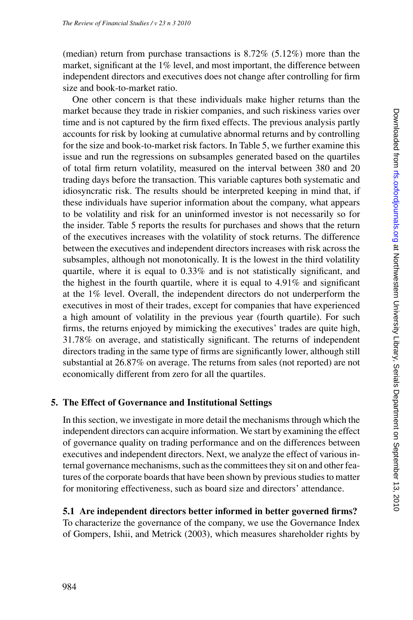(median) return from purchase transactions is 8.72% (5.12%) more than the market, significant at the 1% level, and most important, the difference between independent directors and executives does not change after controlling for firm size and book-to-market ratio.

One other concern is that these individuals make higher returns than the market because they trade in riskier companies, and such riskiness varies over time and is not captured by the firm fixed effects. The previous analysis partly accounts for risk by looking at cumulative abnormal returns and by controlling for the size and book-to-market risk factors. In Table 5, we further examine this issue and run the regressions on subsamples generated based on the quartiles of total firm return volatility, measured on the interval between 380 and 20 trading days before the transaction. This variable captures both systematic and idiosyncratic risk. The results should be interpreted keeping in mind that, if these individuals have superior information about the company, what appears to be volatility and risk for an uninformed investor is not necessarily so for the insider. Table 5 reports the results for purchases and shows that the return of the executives increases with the volatility of stock returns. The difference between the executives and independent directors increases with risk across the subsamples, although not monotonically. It is the lowest in the third volatility quartile, where it is equal to 0.33% and is not statistically significant, and the highest in the fourth quartile, where it is equal to 4.91% and significant at the 1% level. Overall, the independent directors do not underperform the executives in most of their trades, except for companies that have experienced a high amount of volatility in the previous year (fourth quartile). For such firms, the returns enjoyed by mimicking the executives' trades are quite high, 31.78% on average, and statistically significant. The returns of independent directors trading in the same type of firms are significantly lower, although still substantial at 26.87% on average. The returns from sales (not reported) are not economically different from zero for all the quartiles.

## **5. The Effect of Governance and Institutional Settings**

In this section, we investigate in more detail the mechanisms through which the independent directors can acquire information. We start by examining the effect of governance quality on trading performance and on the differences between executives and independent directors. Next, we analyze the effect of various internal governance mechanisms, such as the committees they sit on and other features of the corporate boards that have been shown by previous studies to matter for monitoring effectiveness, such as board size and directors' attendance.

#### **5.1 Are independent directors better informed in better governed firms?**

To characterize the governance of the company, we use the Governance Index of Gompers, Ishii, and Metrick (2003), which measures shareholder rights by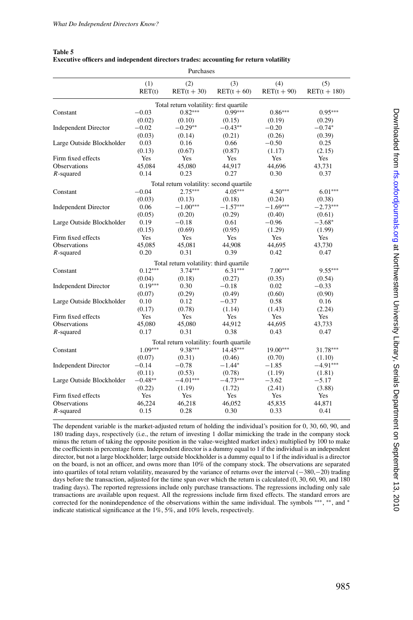|                             | (1)<br>RET(t) | (2)<br>$RET(t + 30)$                     | (3)<br>$RET(t+60)$ | (4)<br>$RET(t + 90)$ | (5)<br>$RET(t + 180)$ |
|-----------------------------|---------------|------------------------------------------|--------------------|----------------------|-----------------------|
|                             |               | Total return volatility: first quartile  |                    |                      |                       |
| Constant                    | $-0.03$       | $0.82***$                                | $0.99***$          | $0.86***$            | $0.95***$             |
|                             | (0.02)        | (0.10)                                   | (0.15)             | (0.19)               | (0.29)                |
| <b>Independent Director</b> | $-0.02$       | $-0.29**$                                | $-0.43**$          | $-0.20$              | $-0.74*$              |
|                             | (0.03)        | (0.14)                                   | (0.21)             | (0.26)               | (0.39)                |
| Large Outside Blockholder   | 0.03          | 0.16                                     | 0.66               | $-0.50$              | 0.25                  |
|                             | (0.13)        | (0.67)                                   | (0.87)             | (1.17)               | (2.15)                |
| Firm fixed effects          | Yes           | Yes                                      | Yes                | Yes                  | Yes                   |
| <b>Observations</b>         | 45,084        | 45,080                                   | 44,917             | 44,696               | 43,731                |
| $R$ -squared                | 0.14          | 0.23                                     | 0.27               | 0.30                 | 0.37                  |
|                             |               | Total return volatility: second quartile |                    |                      |                       |
| Constant                    | $-0.04$       | $2.75***$                                | $4.05***$          | $4.50***$            | $6.01***$             |
|                             | (0.03)        | (0.13)                                   | (0.18)             | (0.24)               | (0.38)                |
| <b>Independent Director</b> | 0.06          | $-1.00***$                               | $-1.57***$         | $-1.69***$           | $-2.73***$            |
|                             | (0.05)        | (0.20)                                   | (0.29)             | (0.40)               | (0.61)                |
| Large Outside Blockholder   | 0.19          | $-0.18$                                  | 0.61               | $-0.96$              | $-3.68*$              |
|                             | (0.15)        | (0.69)                                   | (0.95)             | (1.29)               | (1.99)                |
| Firm fixed effects          | Yes           | Yes                                      | Yes                | Yes                  | Yes                   |
| <b>Observations</b>         | 45,085        | 45,081                                   | 44,908             | 44,695               | 43,730                |
| $R$ -squared                | 0.20          | 0.31                                     | 0.39               | 0.42                 | 0.47                  |
|                             |               | Total return volatility: third quartile  |                    |                      |                       |
| Constant                    | $0.12***$     | $3.74***$                                | $6.31***$          | $7.00***$            | $9.55***$             |
|                             | (0.04)        | (0.18)                                   | (0.27)             | (0.35)               | (0.54)                |
| <b>Independent Director</b> | $0.19***$     | 0.30                                     | $-0.18$            | 0.02                 | $-0.33$               |
|                             | (0.07)        | (0.29)                                   | (0.49)             | (0.60)               | (0.90)                |
| Large Outside Blockholder   | 0.10          | 0.12                                     | $-0.37$            | 0.58                 | 0.16                  |
|                             | (0.17)        | (0.78)                                   | (1.14)             | (1.43)               | (2.24)                |
| Firm fixed effects          | Yes           | Yes                                      | Yes                | Yes                  | Yes                   |
| <b>Observations</b>         | 45,080        | 45,080                                   | 44,912             | 44,695               | 43,733                |
| $R$ -squared                | 0.17          | 0.31                                     | 0.38               | 0.43                 | 0.47                  |
|                             |               | Total return volatility: fourth quartile |                    |                      |                       |
| Constant                    | $1.09***$     | $9.38***$                                | $14.45***$         | 19.00***             | 31.78***              |
|                             | (0.07)        | (0.31)                                   | (0.46)             | (0.70)               | (1.10)                |
| <b>Independent Director</b> | $-0.14$       | $-0.78$                                  | $-1.44*$           | $-1.85$              | $-4.91***$            |
|                             | (0.11)        | (0.53)                                   | (0.78)             | (1.19)               | (1.81)                |
| Large Outside Blockholder   | $-0.48**$     | $-4.01***$                               | $-4.73***$         | $-3.62$              | $-5.17$               |
|                             | (0.22)        | (1.19)                                   | (1.72)             | (2.41)               | (3.88)                |
| Firm fixed effects          | Yes           | Yes                                      | Yes                | Yes                  | Yes                   |
| Observations                | 46,224        | 46,218                                   | 46,052             | 45,835               | 44,871                |
| $R$ -squared                | 0.15          | 0.28                                     | 0.30               | 0.33                 | 0.41                  |
|                             |               |                                          |                    |                      |                       |

**Table 5 Executive officers and independent directors trades: accounting for return volatility**

Purchases

The dependent variable is the market-adjusted return of holding the individual's position for 0, 30, 60, 90, and 180 trading days, respectively (i.e., the return of investing 1 dollar mimicking the trade in the company stock minus the return of taking the opposite position in the value-weighted market index) multiplied by 100 to make the coefficients in percentage form. Independent director is a dummy equal to 1 if the individual is an independent director, but not a large blockholder; large outside blockholder is a dummy equal to 1 if the individual is a director on the board, is not an officer, and owns more than 10% of the company stock. The observations are separated into quartiles of total return volatility, measured by the variance of returns over the interval (−380,−20) trading days before the transaction, adjusted for the time span over which the return is calculated (0, 30, 60, 90, and 180) trading days). The reported regressions include only purchase transactions. The regressions including only sale transactions are available upon request. All the regressions include firm fixed effects. The standard errors are corrected for the nonindependence of the observations within the same individual. The symbols ∗∗∗, ∗∗, and ∗ indicate statistical significance at the 1%, 5%, and 10% levels, respectively.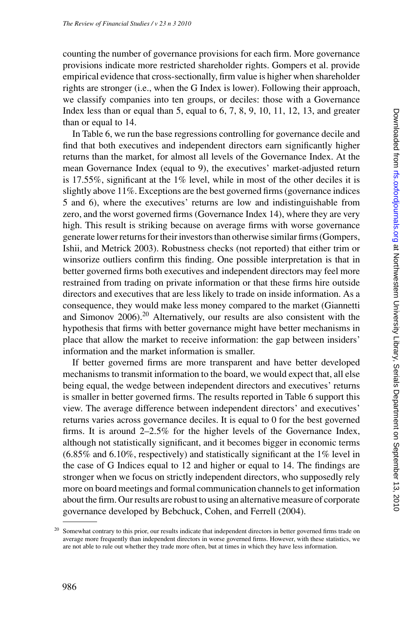counting the number of governance provisions for each firm. More governance provisions indicate more restricted shareholder rights. Gompers et al. provide empirical evidence that cross-sectionally, firm value is higher when shareholder rights are stronger (i.e., when the G Index is lower). Following their approach, we classify companies into ten groups, or deciles: those with a Governance Index less than or equal than 5, equal to  $6, 7, 8, 9, 10, 11, 12, 13$ , and greater than or equal to 14.

In Table 6, we run the base regressions controlling for governance decile and find that both executives and independent directors earn significantly higher returns than the market, for almost all levels of the Governance Index. At the mean Governance Index (equal to 9), the executives' market-adjusted return is 17.55%, significant at the 1% level, while in most of the other deciles it is slightly above 11%. Exceptions are the best governed firms (governance indices 5 and 6), where the executives' returns are low and indistinguishable from zero, and the worst governed firms (Governance Index 14), where they are very high. This result is striking because on average firms with worse governance generate lower returns for their investors than otherwise similar firms (Gompers, Ishii, and Metrick 2003). Robustness checks (not reported) that either trim or winsorize outliers confirm this finding. One possible interpretation is that in better governed firms both executives and independent directors may feel more restrained from trading on private information or that these firms hire outside directors and executives that are less likely to trade on inside information. As a consequence, they would make less money compared to the market (Giannetti and Simonov  $2006$ <sup>20</sup> Alternatively, our results are also consistent with the hypothesis that firms with better governance might have better mechanisms in place that allow the market to receive information: the gap between insiders' information and the market information is smaller.

If better governed firms are more transparent and have better developed mechanisms to transmit information to the board, we would expect that, all else being equal, the wedge between independent directors and executives' returns is smaller in better governed firms. The results reported in Table 6 support this view. The average difference between independent directors' and executives' returns varies across governance deciles. It is equal to 0 for the best governed firms. It is around 2–2.5% for the higher levels of the Governance Index, although not statistically significant, and it becomes bigger in economic terms (6.85% and 6.10%, respectively) and statistically significant at the 1% level in the case of G Indices equal to 12 and higher or equal to 14. The findings are stronger when we focus on strictly independent directors, who supposedly rely more on board meetings and formal communication channels to get information about the firm. Our results are robust to using an alternative measure of corporate governance developed by Bebchuck, Cohen, and Ferrell (2004).

<sup>&</sup>lt;sup>20</sup> Somewhat contrary to this prior, our results indicate that independent directors in better governed firms trade on average more frequently than independent directors in worse governed firms. However, with these statistics, we are not able to rule out whether they trade more often, but at times in which they have less information.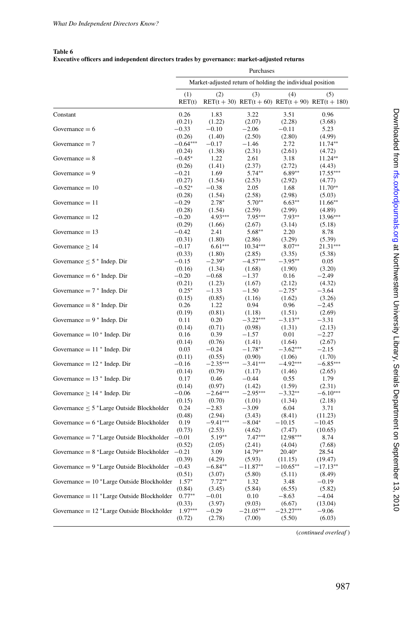| Table 6                                                                                    |  |  |
|--------------------------------------------------------------------------------------------|--|--|
| Executive officers and independent directors trades by governance: market-adjusted returns |  |  |

|                                                   |                    |                                                           | Purchases            |                     |                                                                    |
|---------------------------------------------------|--------------------|-----------------------------------------------------------|----------------------|---------------------|--------------------------------------------------------------------|
|                                                   |                    | Market-adjusted return of holding the individual position |                      |                     |                                                                    |
|                                                   | (1)<br>RET(t)      | (2)                                                       | (3)                  | (4)                 | (5)<br>$RET(t + 30)$ RET $(t + 60)$ RET $(t + 90)$ RET $(t + 180)$ |
| Constant                                          | 0.26               | 1.83                                                      | 3.22                 | 3.51                | 0.96                                                               |
| Governance $= 6$                                  | (0.21)<br>$-0.33$  | (1.22)<br>$-0.10$                                         | (2.07)<br>$-2.06$    | (2.28)<br>$-0.11$   | (3.68)<br>5.23                                                     |
|                                                   | (0.26)             | (1.40)                                                    | (2.50)               | (2.80)              | (4.99)                                                             |
| Governance $= 7$                                  | $-0.64***$         | $-0.17$                                                   | $-1.46$              | 2.72                | $11.74**$                                                          |
|                                                   | (0.24)             | (1.38)                                                    | (2.31)               | (2.61)              | (4.72)                                                             |
| Governance $= 8$                                  | $-0.45*$<br>(0.26) | 1.22<br>(1.41)                                            | 2.61                 | 3.18<br>(2.72)      | $11.24**$<br>(4.43)                                                |
| Governance $= 9$                                  | $-0.21$            | 1.69                                                      | (2.37)<br>$5.74***$  | $6.89**$            | $17.55***$                                                         |
|                                                   | (0.27)             | (1.54)                                                    | (2.53)               | (2.92)              | (4.77)                                                             |
| Governance $= 10$                                 | $-0.52*$           | $-0.38$                                                   | 2.05                 | 1.68                | $11.70**$                                                          |
|                                                   | (0.28)             | (1.54)                                                    | (2.58)               | (2.98)              | (5.03)                                                             |
| Governance $= 11$                                 | $-0.29$            | $2.78*$                                                   | $5.70**$             | $6.63**$            | $11.66**$                                                          |
|                                                   | (0.28)             | (1.54)                                                    | (2.59)               | (2.99)              | (4.89)                                                             |
| Governance $= 12$                                 | $-0.20$            | 4.93***                                                   | 7.95***              | $7.93**$            | $13.96***$                                                         |
|                                                   | (0.29)             | (1.66)                                                    | (2.67)               | (3.14)              | (5.18)                                                             |
| Governance $= 13$                                 | $-0.42$            | 2.41                                                      | $5.68**$             | 2.20                | 8.78                                                               |
|                                                   | (0.31)             | (1.80)                                                    | (2.86)               | (3.29)              | (5.39)                                                             |
| Governance $> 14$                                 | $-0.17$            | $6.61***$                                                 | $10.34***$           | $8.07**$            | $21.31***$                                                         |
|                                                   | (0.33)             | (1.80)                                                    | (2.85)               | (3.35)              | (5.38)                                                             |
| Governance $\leq$ 5 $*$ Indep. Dir                | $-0.15$            | $-2.39*$                                                  | $-4.57***$           | $-3.95**$           | 0.05                                                               |
| Governance = $6 *$ Indep. Dir                     | (0.16)             | (1.34)                                                    | (1.68)               | (1.90)              | (3.20)<br>$-2.49$                                                  |
|                                                   | $-0.20$<br>(0.21)  | $-0.68$<br>(1.23)                                         | $-1.37$<br>(1.67)    | 0.16<br>(2.12)      | (4.32)                                                             |
| Governance $= 7$ * Indep. Dir                     | $0.25*$            | $-1.33$                                                   | $-1.50$              | $-2.75*$            | $-3.64$                                                            |
|                                                   | (0.15)             | (0.85)                                                    | (1.16)               | (1.62)              | (3.26)                                                             |
| Governance $= 8$ * Indep. Dir                     | 0.26               | 1.22                                                      | 0.94                 | 0.96                | $-2.45$                                                            |
|                                                   | (0.19)             | (0.81)                                                    | (1.18)               | (1.51)              | (2.69)                                                             |
| Governance $= 9$ * Indep. Dir                     | 0.11               | 0.20                                                      | $-3.22***$           | $-3.13**$           | $-3.31$                                                            |
|                                                   | (0.14)             | (0.71)                                                    | (0.98)               | (1.31)              | (2.13)                                                             |
| Governance $= 10$ * Indep. Dir                    | 0.16               | 0.39                                                      | $-1.57$              | 0.01                | $-2.27$                                                            |
|                                                   | (0.14)             | (0.76)                                                    | (1.41)               | (1.64)              | (2.67)                                                             |
| Governance $= 11$ * Indep. Dir                    | 0.03               | $-0.24$                                                   | $-1.78**$            | $-3.62***$          | $-2.15$                                                            |
|                                                   | (0.11)             | (0.55)                                                    | (0.90)               | (1.06)              | (1.70)                                                             |
| Governance $= 12$ * Indep. Dir                    | $-0.16$            | $-2.35***$                                                | $-3.41***$           | $-4.92***$          | $-6.85***$                                                         |
|                                                   | (0.14)             | (0.79)                                                    | (1.17)               | (1.46)              | (2.65)                                                             |
| Governance $= 13$ * Indep. Dir                    | 0.17<br>(0.14)     | 0.46                                                      | $-0.44$              | 0.55                | 1.79                                                               |
| Governance $\geq 14$ * Indep. Dir                 | $-0.06$            | (0.97)<br>$-2.64***$                                      | (1.42)<br>$-2.95***$ | (1.59)<br>$-3.32**$ | (2.31)<br>$-6.10***$                                               |
|                                                   | (0.15)             | (0.70)                                                    | (1.01)               | (1.34)              | (2.18)                                                             |
| Governance $\leq$ 5 *Large Outside Blockholder    | 0.24               | $-2.83$                                                   | $-3.09$              | 6.04                | 3.71                                                               |
|                                                   | (0.48)             | (2.94)                                                    | (3.43)               | (8.41)              | (11.23)                                                            |
| Governance $= 6$ *Large Outside Blockholder       | 0.19               | $-9.41***$                                                | $-8.04*$             | $-10.15$            | $-10.45$                                                           |
|                                                   | (0.73)             | (2.53)                                                    | (4.62)               | (7.47)              | (10.65)                                                            |
| Governance $= 7$ *Large Outside Blockholder       | $-0.01$            | $5.19**$                                                  | $7.47***$            | 12.98***            | 8.74                                                               |
|                                                   | (0.52)             | (2.05)                                                    | (2.41)               | (4.04)              | (7.68)                                                             |
| Governance = $8$ *Large Outside Blockholder -0.21 |                    | 3.09                                                      | 14.79**              | $20.40*$            | 28.54                                                              |
|                                                   | (0.39)             | (4.29)                                                    | (5.93)               | (11.15)             | (19.47)                                                            |
| Governance = $9$ *Large Outside Blockholder -0.43 |                    | $-6.84**$                                                 | $-11.87**$           | $-10.65**$          | $-17.13**$                                                         |
|                                                   | (0.51)             | (3.07)                                                    | (5.80)               | (5.11)              | (8.49)                                                             |
| Governance = $10$ *Large Outside Blockholder      | $1.57*$            | $7.72**$                                                  | 1.32                 | 3.48                | $-0.19$                                                            |
| Governance $= 11$ *Large Outside Blockholder      | (0.84)<br>$0.77**$ | (3.45)<br>$-0.01$                                         | (5.84)<br>0.10       | (6.55)<br>$-8.63$   | (5.82)<br>$-4.04$                                                  |
|                                                   | (0.33)             | (3.97)                                                    | (9.03)               | (6.67)              | (13.04)                                                            |
| Governance $= 12$ *Large Outside Blockholder      | $1.97***$          | $-0.29$                                                   | $-21.05***$          | $-23.27***$         | $-9.06$                                                            |
|                                                   | (0.72)             | (2.78)                                                    | (7.00)               | (5.50)              | (6.03)                                                             |
|                                                   |                    |                                                           |                      |                     |                                                                    |

(*continued overleaf* )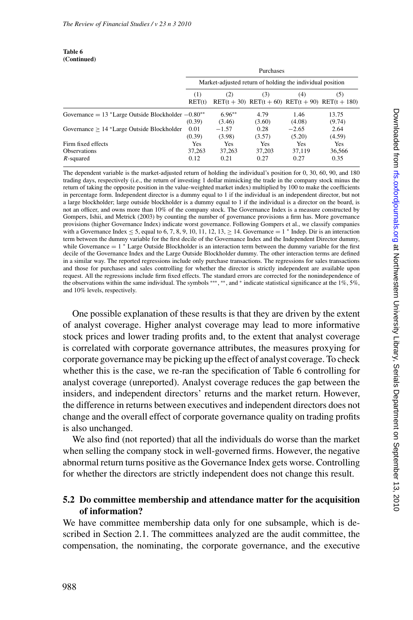#### **Table 6 (Continued)**

|                                                           |                       |                                                           | Purchases             |                       |                                                                    |
|-----------------------------------------------------------|-----------------------|-----------------------------------------------------------|-----------------------|-----------------------|--------------------------------------------------------------------|
|                                                           |                       | Market-adjusted return of holding the individual position |                       |                       |                                                                    |
|                                                           | (1)<br>RET(t)         | (2)                                                       | (3)                   | (4)                   | (5)<br>$RET(t + 30)$ RET $(t + 60)$ RET $(t + 90)$ RET $(t + 180)$ |
| Governance = $13$ *Large Outside Blockholder $-0.80$ **   | (0.39)                | $6.96**$<br>(3.46)                                        | 4.79<br>(3.60)        | 1.46<br>(4.08)        | 13.75<br>(9.74)                                                    |
| Governance $\geq 14$ *Large Outside Blockholder           | 0.01<br>(0.39)        | $-1.57$<br>(3.98)                                         | 0.28<br>(3.57)        | $-2.65$<br>(5.20)     | 2.64<br>(4.59)                                                     |
| Firm fixed effects<br><b>Observations</b><br>$R$ -squared | Yes<br>37.263<br>0.12 | Yes<br>37,263<br>0.21                                     | Yes<br>37,203<br>0.27 | Yes<br>37,119<br>0.27 | <b>Yes</b><br>36,566<br>0.35                                       |

The dependent variable is the market-adjusted return of holding the individual's position for 0, 30, 60, 90, and 180 trading days, respectively (i.e., the return of investing 1 dollar mimicking the trade in the company stock minus the return of taking the opposite position in the value-weighted market index) multiplied by 100 to make the coefficients in percentage form. Independent director is a dummy equal to 1 if the individual is an independent director, but not a large blockholder; large outside blockholder is a dummy equal to 1 if the individual is a director on the board, is not an officer, and owns more than 10% of the company stock. The Governance Index is a measure constructed by Gompers, Ishii, and Metrick (2003) by counting the number of governance provisions a firm has. More governance provisions (higher Governance Index) indicate worst governance. Following Gompers et al., we classify companies with a Governance Index  $\leq 5$ , equal to 6, 7, 8, 9, 10, 11, 12, 13,  $\geq 14$ . Governance  $= 1$  \* Indep. Dir is an interaction term between the dummy variable for the first decile of the Governance Index and the Independent Director dummy, while Governance  $= 1$   $*$  Large Outside Blockholder is an interaction term between the dummy variable for the first decile of the Governance Index and the Large Outside Blockholder dummy. The other interaction terms are defined in a similar way. The reported regressions include only purchase transactions. The regressions for sales transactions and those for purchases and sales controlling for whether the director is strictly independent are available upon request. All the regressions include firm fixed effects. The standard errors are corrected for the nonindependence of the observations within the same individual. The symbols ∗∗∗, ∗∗, and <sup>∗</sup> indicate statistical significance at the 1%, 5%, and 10% levels, respectively.

One possible explanation of these results is that they are driven by the extent of analyst coverage. Higher analyst coverage may lead to more informative stock prices and lower trading profits and, to the extent that analyst coverage is correlated with corporate governance attributes, the measures proxying for corporate governance may be picking up the effect of analyst coverage. To check whether this is the case, we re-ran the specification of Table 6 controlling for analyst coverage (unreported). Analyst coverage reduces the gap between the insiders, and independent directors' returns and the market return. However, the difference in returns between executives and independent directors does not change and the overall effect of corporate governance quality on trading profits is also unchanged.

We also find (not reported) that all the individuals do worse than the market when selling the company stock in well-governed firms. However, the negative abnormal return turns positive as the Governance Index gets worse. Controlling for whether the directors are strictly independent does not change this result.

## **5.2 Do committee membership and attendance matter for the acquisition of information?**

We have committee membership data only for one subsample, which is described in Section 2.1. The committees analyzed are the audit committee, the compensation, the nominating, the corporate governance, and the executive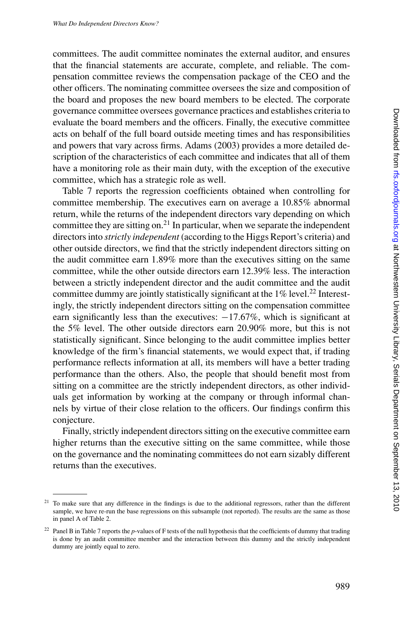committees. The audit committee nominates the external auditor, and ensures that the financial statements are accurate, complete, and reliable. The compensation committee reviews the compensation package of the CEO and the other officers. The nominating committee oversees the size and composition of the board and proposes the new board members to be elected. The corporate governance committee oversees governance practices and establishes criteria to evaluate the board members and the officers. Finally, the executive committee acts on behalf of the full board outside meeting times and has responsibilities and powers that vary across firms. Adams (2003) provides a more detailed description of the characteristics of each committee and indicates that all of them have a monitoring role as their main duty, with the exception of the executive committee, which has a strategic role as well.

Table 7 reports the regression coefficients obtained when controlling for committee membership. The executives earn on average a 10.85% abnormal return, while the returns of the independent directors vary depending on which committee they are sitting on.<sup>21</sup> In particular, when we separate the independent directors into *strictly independent* (according to the Higgs Report's criteria) and other outside directors, we find that the strictly independent directors sitting on the audit committee earn 1.89% more than the executives sitting on the same committee, while the other outside directors earn 12.39% less. The interaction between a strictly independent director and the audit committee and the audit committee dummy are jointly statistically significant at the  $1\%$  level.<sup>22</sup> Interestingly, the strictly independent directors sitting on the compensation committee earn significantly less than the executives:  $-17.67\%$ , which is significant at the 5% level. The other outside directors earn 20.90% more, but this is not statistically significant. Since belonging to the audit committee implies better knowledge of the firm's financial statements, we would expect that, if trading performance reflects information at all, its members will have a better trading performance than the others. Also, the people that should benefit most from sitting on a committee are the strictly independent directors, as other individuals get information by working at the company or through informal channels by virtue of their close relation to the officers. Our findings confirm this conjecture.

Finally, strictly independent directors sitting on the executive committee earn higher returns than the executive sitting on the same committee, while those on the governance and the nominating committees do not earn sizably different returns than the executives.

<sup>21</sup> To make sure that any difference in the findings is due to the additional regressors, rather than the different sample, we have re-run the base regressions on this subsample (not reported). The results are the same as those in panel A of Table 2.

<sup>&</sup>lt;sup>22</sup> Panel B in Table 7 reports the *p*-values of F tests of the null hypothesis that the coefficients of dummy that trading is done by an audit committee member and the interaction between this dummy and the strictly independent dummy are jointly equal to zero.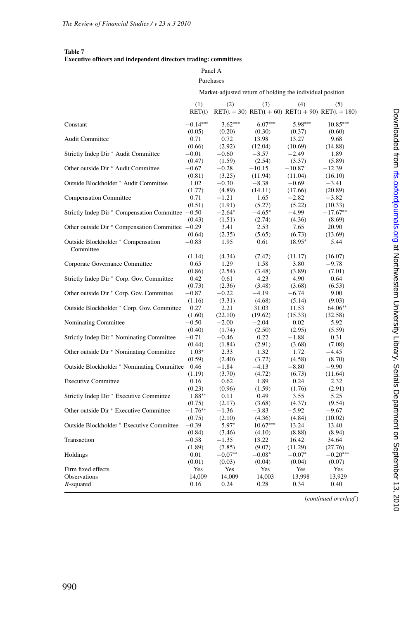|                                                      |                   | Purchases                                                 |                    |                    |                                                                    |
|------------------------------------------------------|-------------------|-----------------------------------------------------------|--------------------|--------------------|--------------------------------------------------------------------|
|                                                      |                   | Market-adjusted return of holding the individual position |                    |                    |                                                                    |
|                                                      | (1)<br>RET(t)     | (2)                                                       | (3)                | (4)                | (5)<br>$RET(t + 30)$ RET $(t + 60)$ RET $(t + 90)$ RET $(t + 180)$ |
| Constant                                             | $-0.14***$        | $3.62***$                                                 | $6.07***$          | $5.98***$          | $10.85***$                                                         |
| Audit Committee                                      | (0.05)            | (0.20)                                                    | (0.30)             | (0.37)             | (0.60)                                                             |
|                                                      | 0.71              | 0.72                                                      | 13.98              | 13.27              | 9.68                                                               |
|                                                      | (0.66)            | (2.92)                                                    | (12.04)            | (10.69)            | (14.88)                                                            |
| Strictly Indep Dir <sup>*</sup> Audit Committee      | $-0.01$           | $-0.60$                                                   | $-3.57$            | $-2.49$            | 1.89                                                               |
|                                                      | (0.47)            | (1.59)                                                    | (2.54)             | (3.37)             | (5.89)                                                             |
| Other outside Dir * Audit Committee                  | $-0.67$           | $-0.28$                                                   | $-10.15$           | $-10.87$           | $-12.39$                                                           |
|                                                      | (0.81)            | (3.25)                                                    | (11.94)            | (11.04)            | (16.10)                                                            |
| Outside Blockholder * Audit Committee                | 1.02              | $-0.30$                                                   | $-8.38$            | $-0.69$            | $-3.41$                                                            |
|                                                      | (1.77)            | (4.89)                                                    | (14.11)            | (17.66)            | (20.89)                                                            |
| <b>Compensation Committee</b>                        | 0.71              | $-1.21$                                                   | 1.65               | $-2.82$            | $-3.82$                                                            |
|                                                      | (0.51)            | (1.91)                                                    | (5.27)             | (5.22)             | (10.33)                                                            |
| Strictly Indep Dir * Compensation Committee -0.50    | (0.43)            | $-2.64*$<br>(1.51)                                        | $-4.65*$<br>(2.74) | -4.99<br>(4.36)    | $-17.67**$<br>(8.69)                                               |
| Other outside Dir $*$ Compensation Committee $-0.29$ | (0.64)            | 3.41<br>(2.35)                                            | 2.53<br>(5.65)     | 7.65<br>(6.73)     | 20.90<br>(13.69)                                                   |
| Outside Blockholder * Compensation<br>Committee      | $-0.83$           | 1.95                                                      | 0.61               | 18.95*             | 5.44                                                               |
| Corporate Governance Committee                       | (1.14)            | (4.34)                                                    | (7.47)             | (11.17)            | (16.07)                                                            |
|                                                      | 0.65              | 1.29                                                      | 1.58               | 3.80               | $-9.78$                                                            |
|                                                      | (0.86)            | (2.54)                                                    | (3.48)             | (3.89)             | (7.01)                                                             |
| Strictly Indep Dir * Corp. Gov. Committee            | 0.42              | 0.61                                                      | 4.23               | 4.90               | 0.64                                                               |
|                                                      | (0.73)            | (2.36)                                                    | (3.48)             | (3.68)             | (6.53)                                                             |
| Other outside Dir * Corp. Gov. Committee             | $-0.87$           | $-0.22$                                                   | $-4.19$            | $-6.74$            | 9.00                                                               |
|                                                      | (1.16)            | (3.31)                                                    | (4.68)             | (5.14)             | (9.03)                                                             |
| Outside Blockholder * Corp. Gov. Committee           | 0.27              | 2.21                                                      | 31.03              | 11.53              | $64.06**$                                                          |
|                                                      | (1.60)            | (22.10)                                                   | (19.62)            | (15.33)            | (32.58)                                                            |
| Nominating Committee                                 | $-0.50$           | $-2.00$                                                   | $-2.04$            | 0.02               | 5.92                                                               |
|                                                      | (0.40)            | (1.74)                                                    | (2.50)             | (2.95)             | (5.59)                                                             |
| Strictly Indep Dir <sup>*</sup> Nominating Committee | $-0.71$           | $-0.46$                                                   | 0.22               | $-1.88$            | 0.31                                                               |
|                                                      | (0.44)            | (1.84)                                                    | (2.91)             | (3.68)             | (7.08)                                                             |
| Other outside Dir <sup>*</sup> Nominating Committee  | $1.03*$           | 2.33                                                      | 1.32               | 1.72               | $-4.45$                                                            |
|                                                      | (0.59)            | (2.40)                                                    | (3.72)             | (4.58)             | (8.70)                                                             |
| Outside Blockholder * Nominating Committee           | 0.46              | $-1.84$                                                   | $-4.13$            | $-8.80$            | $-9.90$                                                            |
|                                                      | (1.19)            | (3.70)                                                    | (4.72)             | (6.73)             | (11.64)                                                            |
| <b>Executive Committee</b>                           | 0.16              | 0.62                                                      | 1.89               | 0.24               | 2.32                                                               |
|                                                      | (0.23)            | (0.96)                                                    | (1.59)             | (1.76)             | (2.91)                                                             |
| Strictly Indep Dir * Executive Committee             | $1.88***$         | 0.11                                                      | 0.49               | 3.55               | 5.25                                                               |
|                                                      | (0.75)            | (2.17)                                                    | (3.68)             | (4.37)             | (9.54)                                                             |
| Other outside Dir * Executive Committee              | $-1.76**$         | $-1.36$                                                   | $-3.83$            | $-5.92$            | $-9.67$                                                            |
|                                                      | (0.75)            | (2.10)                                                    | (4.36)             | (4.84)             | (10.02)                                                            |
| Outside Blockholder * Executive Committee            | $-0.39$           | 5.97*                                                     | $10.67***$         | 13.24              | 13.40                                                              |
|                                                      | (0.84)            | (3.46)                                                    | (4.10)             | (8.88)             | (8.94)                                                             |
| Transaction                                          | $-0.58$<br>(1.89) | $-1.35$<br>(7.85)                                         | 13.22<br>(9.07)    | 16.42<br>(11.29)   | 34.64                                                              |
| Holdings                                             | 0.01<br>(0.01)    | $-0.07**$<br>(0.03)                                       | $-0.08*$<br>(0.04) | $-0.07*$<br>(0.04) | (27.76)<br>$-0.20***$<br>(0.07)                                    |
| Firm fixed effects                                   | Yes               | Yes                                                       | Yes                | Yes                | Yes                                                                |
| Observations                                         | 14,009            | 14,009                                                    | 14,003             | 13,998             | 13,929                                                             |
| $R$ -squared                                         | 0.16              | 0.24                                                      | 0.28               | 0.34               | 0.40                                                               |

Panel A

#### **Table 7 Executive officers and independent directors trading: committees**

(*continued overleaf* )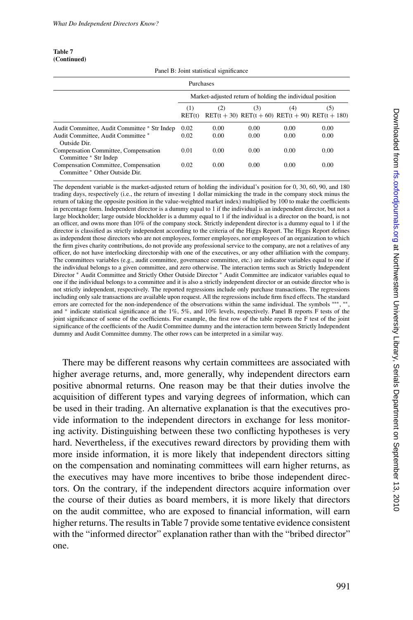| Table 7     |
|-------------|
| (Continued) |

Panel B: Joint statistical significance

|                                                                        | Purchases     |                                                           |      |      |                                                                         |
|------------------------------------------------------------------------|---------------|-----------------------------------------------------------|------|------|-------------------------------------------------------------------------|
|                                                                        |               | Market-adjusted return of holding the individual position |      |      |                                                                         |
|                                                                        | (1)<br>RET(t) | (2)                                                       | (3)  | (4)  | (5)<br>RET( $t + 30$ ) RET( $t + 60$ ) RET( $t + 90$ ) RET( $t + 180$ ) |
| Audit Committee, Audit Committee * Str Indep                           | 0.02          | 0.00                                                      | 0.00 | 0.00 | 0.00                                                                    |
| Audit Committee, Audit Committee *<br>Outside Dir.                     | 0.02          | 0.00                                                      | 0.00 | 0.00 | 0.00                                                                    |
| Compensation Committee, Compensation<br>Committee * Str Indep          | 0.01          | 0.00                                                      | 0.00 | 0.00 | 0.00                                                                    |
| Compensation Committee, Compensation<br>Committee * Other Outside Dir. | 0.02          | 0.00                                                      | 0.00 | 0.00 | 0.00                                                                    |

The dependent variable is the market-adjusted return of holding the individual's position for 0, 30, 60, 90, and 180 trading days, respectively (i.e., the return of investing 1 dollar mimicking the trade in the company stock minus the return of taking the opposite position in the value-weighted market index) multiplied by 100 to make the coefficients in percentage form. Independent director is a dummy equal to 1 if the individual is an independent director, but not a large blockholder; large outside blockholder is a dummy equal to 1 if the individual is a director on the board, is not an officer, and owns more than 10% of the company stock. Strictly independent director is a dummy equal to 1 if the director is classified as strictly independent according to the criteria of the Higgs Report. The Higgs Report defines as independent those directors who are not employees, former employees, nor employees of an organization to which the firm gives charity contributions, do not provide any professional service to the company, are not a relatives of any officer, do not have interlocking directorship with one of the executives, or any other affiliation with the company. The committees variables (e.g., audit committee, governance committee, etc.) are indicator variables equal to one if the individual belongs to a given committee, and zero otherwise. The interaction terms such as Strictly Independent Director <sup>∗</sup> Audit Committee and Strictly Other Outside Director <sup>∗</sup> Audit Committee are indicator variables equal to one if the individual belongs to a committee and it is also a strictly independent director or an outside director who is not strictly independent, respectively. The reported regressions include only purchase transactions. The regressions including only sale transactions are available upon request. All the regressions include firm fixed effects. The standard errors are corrected for the non-independence of the observations within the same individual. The symbols \*\*\*, \*\*, and <sup>∗</sup> indicate statistical significance at the 1%, 5%, and 10% levels, respectively. Panel B reports F tests of the joint significance of some of the coefficients. For example, the first row of the table reports the F test of the joint significance of the coefficients of the Audit Committee dummy and the interaction term between Strictly Independent dummy and Audit Committee dummy. The other rows can be interpreted in a similar way.

There may be different reasons why certain committees are associated with higher average returns, and, more generally, why independent directors earn positive abnormal returns. One reason may be that their duties involve the acquisition of different types and varying degrees of information, which can be used in their trading. An alternative explanation is that the executives provide information to the independent directors in exchange for less monitoring activity. Distinguishing between these two conflicting hypotheses is very hard. Nevertheless, if the executives reward directors by providing them with more inside information, it is more likely that independent directors sitting on the compensation and nominating committees will earn higher returns, as the executives may have more incentives to bribe those independent directors. On the contrary, if the independent directors acquire information over the course of their duties as board members, it is more likely that directors on the audit committee, who are exposed to financial information, will earn higher returns. The results in Table 7 provide some tentative evidence consistent with the "informed director" explanation rather than with the "bribed director" one.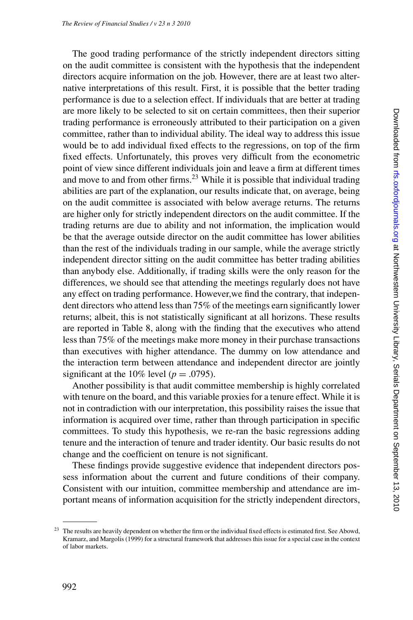The good trading performance of the strictly independent directors sitting on the audit committee is consistent with the hypothesis that the independent directors acquire information on the job. However, there are at least two alternative interpretations of this result. First, it is possible that the better trading performance is due to a selection effect. If individuals that are better at trading are more likely to be selected to sit on certain committees, then their superior trading performance is erroneously attributed to their participation on a given committee, rather than to individual ability. The ideal way to address this issue would be to add individual fixed effects to the regressions, on top of the firm fixed effects. Unfortunately, this proves very difficult from the econometric point of view since different individuals join and leave a firm at different times and move to and from other firms.<sup>23</sup> While it is possible that individual trading abilities are part of the explanation, our results indicate that, on average, being on the audit committee is associated with below average returns. The returns are higher only for strictly independent directors on the audit committee. If the trading returns are due to ability and not information, the implication would be that the average outside director on the audit committee has lower abilities than the rest of the individuals trading in our sample, while the average strictly independent director sitting on the audit committee has better trading abilities than anybody else. Additionally, if trading skills were the only reason for the differences, we should see that attending the meetings regularly does not have any effect on trading performance. However,we find the contrary, that independent directors who attend less than 75% of the meetings earn significantly lower returns; albeit, this is not statistically significant at all horizons. These results are reported in Table 8, along with the finding that the executives who attend less than 75% of the meetings make more money in their purchase transactions than executives with higher attendance. The dummy on low attendance and the interaction term between attendance and independent director are jointly significant at the 10% level ( $p = .0795$ ).

Another possibility is that audit committee membership is highly correlated with tenure on the board, and this variable proxies for a tenure effect. While it is not in contradiction with our interpretation, this possibility raises the issue that information is acquired over time, rather than through participation in specific committees. To study this hypothesis, we re-ran the basic regressions adding tenure and the interaction of tenure and trader identity. Our basic results do not change and the coefficient on tenure is not significant.

These findings provide suggestive evidence that independent directors possess information about the current and future conditions of their company. Consistent with our intuition, committee membership and attendance are important means of information acquisition for the strictly independent directors,

<sup>&</sup>lt;sup>23</sup> The results are heavily dependent on whether the firm or the individual fixed effects is estimated first. See Abowd, Kramarz, and Margolis (1999) for a structural framework that addresses this issue for a special case in the context of labor markets.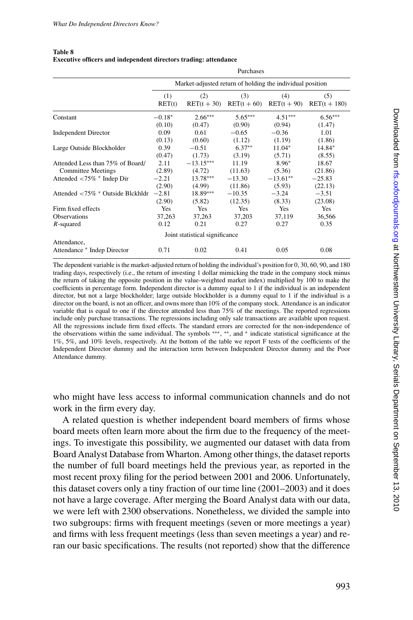| Table 8                                                                 |  |
|-------------------------------------------------------------------------|--|
| <b>Executive officers and independent directors trading: attendance</b> |  |

|                                            |               |                                                           | Purchases          |                      |                       |
|--------------------------------------------|---------------|-----------------------------------------------------------|--------------------|----------------------|-----------------------|
|                                            |               | Market-adjusted return of holding the individual position |                    |                      |                       |
|                                            | (1)<br>RET(t) | (2)<br>$RET(t + 30)$                                      | (3)<br>$RET(t+60)$ | (4)<br>$RET(t + 90)$ | (5)<br>$RET(t + 180)$ |
| Constant                                   | $-0.18*$      | $2.66***$                                                 | $5.65***$          | $4.51***$            | $6.56***$             |
|                                            | (0.10)        | (0.47)                                                    | (0.90)             | (0.94)               | (1.47)                |
| <b>Independent Director</b>                | 0.09          | 0.61                                                      | $-0.65$            | $-0.36$              | 1.01                  |
|                                            | (0.13)        | (0.60)                                                    | (1.12)             | (1.19)               | (1.86)                |
| Large Outside Blockholder                  | 0.39          | $-0.51$                                                   | $6.37**$           | 11.04*               | 14.84*                |
|                                            | (0.47)        | (1.73)                                                    | (3.19)             | (5.71)               | (8.55)                |
| Attended Less than 75% of Board/           | 2.11          | $-13.15***$                                               | 11.19              | $8.96*$              | 18.67                 |
| <b>Committee Meetings</b>                  | (2.89)        | (4.72)                                                    | (11.63)            | (5.36)               | (21.86)               |
| Attended $\langle 75\%$ * Indep Dir        | $-2.21$       | $13.78***$                                                | $-13.30$           | $-13.61**$           | $-25.83$              |
|                                            | (2.90)        | (4.99)                                                    | (11.86)            | (5.93)               | (22.13)               |
| Attended $\langle 75\%$ * Outside Blckhldr | $-2.81$       | $18.89***$                                                | $-10.35$           | $-3.24$              | $-3.51$               |
|                                            | (2.90)        | (5.82)                                                    | (12.35)            | (8.33)               | (23.08)               |
| Firm fixed effects                         | Yes           | Yes                                                       | <b>Yes</b>         | Yes                  | Yes                   |
| <b>Observations</b>                        | 37,263        | 37,263                                                    | 37,203             | 37,119               | 36,566                |
| $R$ -squared                               | 0.12          | 0.21                                                      | 0.27               | 0.27                 | 0.35                  |
|                                            |               | Joint statistical significance                            |                    |                      |                       |
| Attendance,                                |               |                                                           |                    |                      |                       |
| Attendance * Indep Director                | 0.71          | 0.02                                                      | 0.41               | 0.05                 | 0.08                  |

The dependent variable is the market-adjusted return of holding the individual's position for 0, 30, 60, 90, and 180 trading days, respectively (i.e., the return of investing 1 dollar mimicking the trade in the company stock minus the return of taking the opposite position in the value-weighted market index) multiplied by 100 to make the coefficients in percentage form. Independent director is a dummy equal to 1 if the individual is an independent director, but not a large blockholder; large outside blockholder is a dummy equal to 1 if the individual is a director on the board, is not an officer, and owns more than 10% of the company stock. Attendance is an indicator variable that is equal to one if the director attended less than 75% of the meetings. The reported regressions include only purchase transactions. The regressions including only sale transactions are available upon request. All the regressions include firm fixed effects. The standard errors are corrected for the non-independence of the observations within the same individual. The symbols ∗∗∗, ∗∗, and ∗ indicate statistical significance at the 1%, 5%, and 10% levels, respectively. At the bottom of the table we report F tests of the coefficients of the Independent Director dummy and the interaction term between Independent Director dummy and the Poor Attendance dummy.

who might have less access to informal communication channels and do not work in the firm every day.

A related question is whether independent board members of firms whose board meets often learn more about the firm due to the frequency of the meetings. To investigate this possibility, we augmented our dataset with data from Board Analyst Database from Wharton. Among other things, the dataset reports the number of full board meetings held the previous year, as reported in the most recent proxy filing for the period between 2001 and 2006. Unfortunately, this dataset covers only a tiny fraction of our time line (2001–2003) and it does not have a large coverage. After merging the Board Analyst data with our data, we were left with 2300 observations. Nonetheless, we divided the sample into two subgroups: firms with frequent meetings (seven or more meetings a year) and firms with less frequent meetings (less than seven meetings a year) and reran our basic specifications. The results (not reported) show that the difference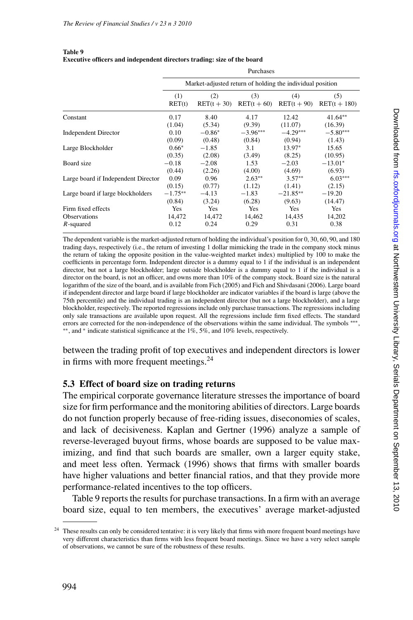| Table 9                                                                 |
|-------------------------------------------------------------------------|
| Executive officers and independent directors trading: size of the board |

|                                     |           |                                                           | Purchases   |               |                |
|-------------------------------------|-----------|-----------------------------------------------------------|-------------|---------------|----------------|
|                                     |           | Market-adjusted return of holding the individual position |             |               |                |
|                                     | (1)       | (2)                                                       | (3)         | (4)           | (5)            |
|                                     | RET(t)    | $RET(t + 30)$                                             | $RET(t+60)$ | $RET(t + 90)$ | $RET(t + 180)$ |
| Constant                            | 0.17      | 8.40                                                      | 4.17        | 12.42         | $41.64**$      |
|                                     | (1.04)    | (5.34)                                                    | (9.39)      | (11.07)       | (16.39)        |
| <b>Independent Director</b>         | 0.10      | $-0.86*$                                                  | $-3.96***$  | $-4.29***$    | $-5.80***$     |
|                                     | (0.09)    | (0.48)                                                    | (0.84)      | (0.94)        | (1.43)         |
| Large Blockholder                   | $0.66*$   | $-1.85$                                                   | 3.1         | 13.97*        | 15.65          |
|                                     | (0.35)    | (2.08)                                                    | (3.49)      | (8.25)        | (10.95)        |
| Board size                          | $-0.18$   | $-2.08$                                                   | 1.53        | $-2.03$       | $-13.01*$      |
|                                     | (0.44)    | (2.26)                                                    | (4.00)      | (4.69)        | (6.93)         |
| Large board if Independent Director | 0.09      | 0.96                                                      | $2.63**$    | $3.57**$      | $6.03***$      |
|                                     | (0.15)    | (0.77)                                                    | (1.12)      | (1.41)        | (2.15)         |
| Large board if large blockholders   | $-1.75**$ | $-4.13$                                                   | $-1.83$     | $-21.85**$    | $-19.20$       |
|                                     | (0.84)    | (3.24)                                                    | (6.28)      | (9.63)        | (14.47)        |
| Firm fixed effects                  | Yes       | Yes                                                       | Yes         | Yes           | <b>Yes</b>     |
| <b>Observations</b>                 | 14,472    | 14,472                                                    | 14,462      | 14,435        | 14,202         |
| $R$ -squared                        | 0.12      | 0.24                                                      | 0.29        | 0.31          | 0.38           |
|                                     |           |                                                           |             |               |                |

The dependent variable is the market-adjusted return of holding the individual's position for 0, 30, 60, 90, and 180 trading days, respectively (i.e., the return of investing 1 dollar mimicking the trade in the company stock minus the return of taking the opposite position in the value-weighted market index) multiplied by 100 to make the coefficients in percentage form. Independent director is a dummy equal to 1 if the individual is an independent director, but not a large blockholder; large outside blockholder is a dummy equal to 1 if the individual is a director on the board, is not an officer, and owns more than 10% of the company stock. Board size is the natural logarithm of the size of the board, and is available from Fich (2005) and Fich and Shivdasani (2006). Large board if independent director and large board if large blockholder are indicator variables if the board is large (above the 75th percentile) and the individual trading is an independent director (but not a large blockholder), and a large blockholder, respectively. The reported regressions include only purchase transactions. The regressions including only sale transactions are available upon request. All the regressions include firm fixed effects. The standard errors are corrected for the non-independence of the observations within the same individual. The symbols <sup>∗∗∗</sup>, ∗∗, and ∗ indicate statistical significance at the 1%, 5%, and 10% levels, respectively.

between the trading profit of top executives and independent directors is lower in firms with more frequent meetings.<sup>24</sup>

## **5.3 Effect of board size on trading returns**

The empirical corporate governance literature stresses the importance of board size for firm performance and the monitoring abilities of directors. Large boards do not function properly because of free-riding issues, diseconomies of scales, and lack of decisiveness. Kaplan and Gertner (1996) analyze a sample of reverse-leveraged buyout firms, whose boards are supposed to be value maximizing, and find that such boards are smaller, own a larger equity stake, and meet less often. Yermack (1996) shows that firms with smaller boards have higher valuations and better financial ratios, and that they provide more performance-related incentives to the top officers.

Table 9 reports the results for purchase transactions. In a firm with an average board size, equal to ten members, the executives' average market-adjusted

These results can only be considered tentative: it is very likely that firms with more frequent board meetings have very different characteristics than firms with less frequent board meetings. Since we have a very select sample of observations, we cannot be sure of the robustness of these results.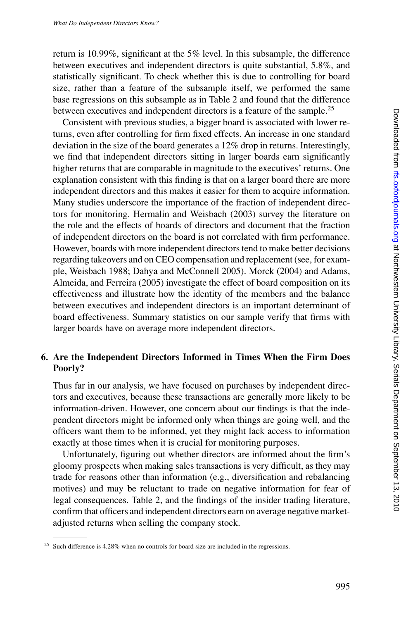return is 10.99%, significant at the 5% level. In this subsample, the difference between executives and independent directors is quite substantial, 5.8%, and statistically significant. To check whether this is due to controlling for board size, rather than a feature of the subsample itself, we performed the same base regressions on this subsample as in Table 2 and found that the difference between executives and independent directors is a feature of the sample.<sup>25</sup>

Consistent with previous studies, a bigger board is associated with lower returns, even after controlling for firm fixed effects. An increase in one standard deviation in the size of the board generates a 12% drop in returns. Interestingly, we find that independent directors sitting in larger boards earn significantly higher returns that are comparable in magnitude to the executives' returns. One explanation consistent with this finding is that on a larger board there are more independent directors and this makes it easier for them to acquire information. Many studies underscore the importance of the fraction of independent directors for monitoring. Hermalin and Weisbach (2003) survey the literature on the role and the effects of boards of directors and document that the fraction of independent directors on the board is not correlated with firm performance. However, boards with more independent directors tend to make better decisions regarding takeovers and on CEO compensation and replacement (see, for example, Weisbach 1988; Dahya and McConnell 2005). Morck (2004) and Adams, Almeida, and Ferreira (2005) investigate the effect of board composition on its effectiveness and illustrate how the identity of the members and the balance between executives and independent directors is an important determinant of board effectiveness. Summary statistics on our sample verify that firms with larger boards have on average more independent directors.

## **6. Are the Independent Directors Informed in Times When the Firm Does Poorly?**

Thus far in our analysis, we have focused on purchases by independent directors and executives, because these transactions are generally more likely to be information-driven. However, one concern about our findings is that the independent directors might be informed only when things are going well, and the officers want them to be informed, yet they might lack access to information exactly at those times when it is crucial for monitoring purposes.

Unfortunately, figuring out whether directors are informed about the firm's gloomy prospects when making sales transactions is very difficult, as they may trade for reasons other than information (e.g., diversification and rebalancing motives) and may be reluctant to trade on negative information for fear of legal consequences. Table 2, and the findings of the insider trading literature, confirm that officers and independent directors earn on average negative marketadjusted returns when selling the company stock.

Such difference is 4.28% when no controls for board size are included in the regressions.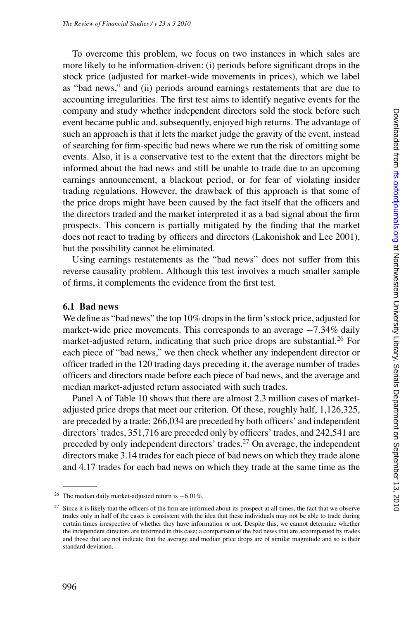To overcome this problem, we focus on two instances in which sales are more likely to be information-driven: (i) periods before significant drops in the stock price (adjusted for market-wide movements in prices), which we label as "bad news," and (ii) periods around earnings restatements that are due to accounting irregularities. The first test aims to identify negative events for the company and study whether independent directors sold the stock before such event became public and, subsequently, enjoyed high returns. The advantage of such an approach is that it lets the market judge the gravity of the event, instead of searching for firm-specific bad news where we run the risk of omitting some events. Also, it is a conservative test to the extent that the directors might be informed about the bad news and still be unable to trade due to an upcoming earnings announcement, a blackout period, or for fear of violating insider trading regulations. However, the drawback of this approach is that some of the price drops might have been caused by the fact itself that the officers and the directors traded and the market interpreted it as a bad signal about the firm prospects. This concern is partially mitigated by the finding that the market does not react to trading by officers and directors (Lakonishok and Lee 2001), but the possibility cannot be eliminated.

Using earnings restatements as the "bad news" does not suffer from this reverse causality problem. Although this test involves a much smaller sample of firms, it complements the evidence from the first test.

## **6.1 Bad news**

We define as "bad news" the top 10% drops in the firm's stock price, adjusted for market-wide price movements. This corresponds to an average  $-7.34\%$  daily market-adjusted return, indicating that such price drops are substantial.<sup>26</sup> For each piece of "bad news," we then check whether any independent director or officer traded in the 120 trading days preceding it, the average number of trades officers and directors made before each piece of bad news, and the average and median market-adjusted return associated with such trades.

Panel A of Table 10 shows that there are almost 2.3 million cases of marketadjusted price drops that meet our criterion. Of these, roughly half, 1,126,325, are preceded by a trade: 266,034 are preceded by both officers' and independent directors' trades, 351,716 are preceded only by officers' trades, and 242,541 are preceded by only independent directors' trades.27 On average, the independent directors make 3.14 trades for each piece of bad news on which they trade alone and 4.17 trades for each bad news on which they trade at the same time as the

<sup>&</sup>lt;sup>26</sup> The median daily market-adjusted return is  $-6.01\%$ .

<sup>27</sup> Since it is likely that the officers of the firm are informed about its prospect at all times, the fact that we observe trades only in half of the cases is consistent with the idea that these individuals may not be able to trade during certain times irrespective of whether they have information or not. Despite this, we cannot determine whether the independent directors are informed in this case; a comparison of the bad news that are accompanied by trades and those that are not indicate that the average and median price drops are of similar magnitude and so is their standard deviation.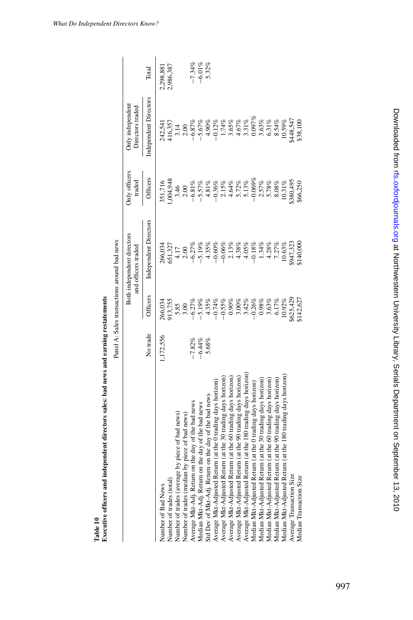|                                                               |          |                      | Both independent directors<br>and officers traded      | Only officers<br>traded                      | Only independent<br>Directors traded                                |                        |
|---------------------------------------------------------------|----------|----------------------|--------------------------------------------------------|----------------------------------------------|---------------------------------------------------------------------|------------------------|
|                                                               | No trade | <b>Officers</b>      | Independent Directors                                  | Officers                                     | Independent Directors                                               | Total                  |
| Number of Bad News                                            | ,172,556 | 266,034              | 166,034                                                |                                              | 242,541                                                             |                        |
| Number of trades (total)                                      |          | 113,755              |                                                        | 351,716<br>,004,948<br>3.46<br>2.00          |                                                                     | 2,298,881<br>2,986,387 |
| Number of trades (average by piece of bad news)               |          | 5.85                 | $\begin{array}{c} 551,327 \\ 4.17 \\ 2.00 \end{array}$ |                                              | $\frac{116,357}{3.14}$                                              |                        |
| Number of trades (median by piece of bad news)                |          | 3.00                 |                                                        |                                              |                                                                     |                        |
| Average Mkt-Adj. Return on the day of the bad news            | $-7.82%$ |                      |                                                        |                                              |                                                                     |                        |
| Median Mkt-Adj. Return on the day of the bad news             | $-6.44%$ | $-6.27%$<br>$-5.19%$ | $-6.27%$<br>$-5.19%$                                   | $-6.81\%$<br>$-5.57\%$                       |                                                                     | $-7.34\%$<br>$-6.01\%$ |
| Std Dev of Mkt-Adj. Return on the day of the bad news         | 5.68%    | 4.35%                | 4.35%                                                  |                                              | $-6.87%$<br>$-5.67%$<br>$4.90%$                                     | 5.32%                  |
| Average Mkt-Adjusted Return (at the 0 trading days horizon    |          | $-0.74%$             | $-0.60%$                                               |                                              | $-0.12%$                                                            |                        |
| Average Mkt-Adjusted Return (at the 30 trading days horizon)  |          | $-0.55%$             | $-0.06%$                                               |                                              |                                                                     |                        |
| Average Mkt-Adjusted Return (at the 60 trading days horizon)  |          | 0.90%                | $2.13\%$<br>4.38%                                      |                                              |                                                                     |                        |
| Average Mkt-Adjusted Return (at the 90 trading days horizon)  |          | 3.00%                |                                                        | $4.81%$ $3.5%$ $3.6%$ $4.5%$ $5.72%$ $5.72%$ | $\begin{array}{l} 1.74\% \\ 3.65\% \\ 4.67\% \\ 3.31\% \end{array}$ |                        |
| Average Mkt-Adjusted Return (at the 180 trading days horizon) |          | 3.42%                | 4.05%                                                  |                                              |                                                                     |                        |
| Median Mkt-Adjusted Return (at the 0 trading days horizon)    |          | $-0.26%$             | $-0.18%$                                               | $-0.069%$                                    | 0.097%                                                              |                        |
| Median Mkt-Adjusted Return (at the 30 trading days horizon    |          | 0.98%                | 1.34%                                                  |                                              | 3.63%                                                               |                        |
| Median Mkt-Adjusted Return (at the 60 trading days horizon    |          | 3.63%                | 4.28%                                                  | $2.57%$<br>$5.78%$<br>$8.08%$                | $6.31\%$<br>8.54%                                                   |                        |
| Median Mkt-Adjusted Return (at the 90 trading days horizon)   |          | 6.17%                | 7.27%                                                  |                                              |                                                                     |                        |
| Median Mkt-Adjusted Return (at the 180 trading days horizon)  |          | 10.92%               | 10.63%                                                 |                                              |                                                                     |                        |
| Average Transaction Size                                      |          | 625,429              | 947,323                                                | 10.31%<br>380,495                            | 10.59%<br>3448,547                                                  |                        |
| Median Transaction Size                                       |          | 142,627              | 140,000                                                | 66,250                                       | \$38,100                                                            |                        |
|                                                               |          |                      |                                                        |                                              |                                                                     |                        |

Panel A: Sales transactions around bad news Panel A: Sales transactions around bad news **Table 10** Executive officers and independent directors sales: bad news and earning restatements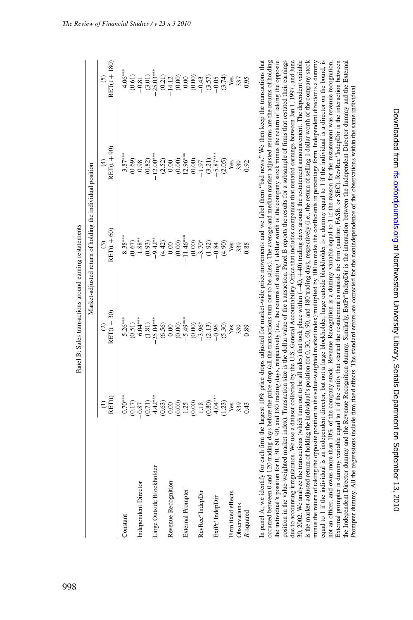|                                                                                                                                                                                                                                                                                                                                                                                                                                                                                                                                                                                                                                                                                                                                                                                                                                                                                                                                                                                                                                                                                                                                                                                                                                                                                                                                                                                                                                                                                                                                                                                                                                                                                                                                                                                                                                                                                                                                                                                                                                                                                                                                                                                                                                                                                                                                                                                                                                                       |                                                                                                          | Panel B: Sales transactions around earning restatements |                                                           |                                                                         |                           |
|-------------------------------------------------------------------------------------------------------------------------------------------------------------------------------------------------------------------------------------------------------------------------------------------------------------------------------------------------------------------------------------------------------------------------------------------------------------------------------------------------------------------------------------------------------------------------------------------------------------------------------------------------------------------------------------------------------------------------------------------------------------------------------------------------------------------------------------------------------------------------------------------------------------------------------------------------------------------------------------------------------------------------------------------------------------------------------------------------------------------------------------------------------------------------------------------------------------------------------------------------------------------------------------------------------------------------------------------------------------------------------------------------------------------------------------------------------------------------------------------------------------------------------------------------------------------------------------------------------------------------------------------------------------------------------------------------------------------------------------------------------------------------------------------------------------------------------------------------------------------------------------------------------------------------------------------------------------------------------------------------------------------------------------------------------------------------------------------------------------------------------------------------------------------------------------------------------------------------------------------------------------------------------------------------------------------------------------------------------------------------------------------------------------------------------------------------------|----------------------------------------------------------------------------------------------------------|---------------------------------------------------------|-----------------------------------------------------------|-------------------------------------------------------------------------|---------------------------|
|                                                                                                                                                                                                                                                                                                                                                                                                                                                                                                                                                                                                                                                                                                                                                                                                                                                                                                                                                                                                                                                                                                                                                                                                                                                                                                                                                                                                                                                                                                                                                                                                                                                                                                                                                                                                                                                                                                                                                                                                                                                                                                                                                                                                                                                                                                                                                                                                                                                       |                                                                                                          |                                                         | Market-adjusted return of holding the individual position |                                                                         |                           |
|                                                                                                                                                                                                                                                                                                                                                                                                                                                                                                                                                                                                                                                                                                                                                                                                                                                                                                                                                                                                                                                                                                                                                                                                                                                                                                                                                                                                                                                                                                                                                                                                                                                                                                                                                                                                                                                                                                                                                                                                                                                                                                                                                                                                                                                                                                                                                                                                                                                       | $\frac{(1)}{RETC}$                                                                                       | $RET(t + 30)$<br>$\widehat{c}$                          | $RET(t + 60)$<br>$\widehat{c}$                            | $\overline{E}T(t+90)$<br>$\widehat{d}$                                  | $RET(t + 180)$<br>$\odot$ |
| Constant                                                                                                                                                                                                                                                                                                                                                                                                                                                                                                                                                                                                                                                                                                                                                                                                                                                                                                                                                                                                                                                                                                                                                                                                                                                                                                                                                                                                                                                                                                                                                                                                                                                                                                                                                                                                                                                                                                                                                                                                                                                                                                                                                                                                                                                                                                                                                                                                                                              | $-0.70***$                                                                                               | $5.26***$                                               | $8.38***$                                                 | $3.87***$                                                               | $4.06***$                 |
| Independent Director                                                                                                                                                                                                                                                                                                                                                                                                                                                                                                                                                                                                                                                                                                                                                                                                                                                                                                                                                                                                                                                                                                                                                                                                                                                                                                                                                                                                                                                                                                                                                                                                                                                                                                                                                                                                                                                                                                                                                                                                                                                                                                                                                                                                                                                                                                                                                                                                                                  | (0.17)<br>$-0.87$                                                                                        | $6.04***$<br>(0.51)                                     | $1.88^{\ast\ast}$<br>(0.67)                               | (0.69)<br>$\,0.98$                                                      | (0.61)<br>$-0.81$         |
| Large Outside Blockholder                                                                                                                                                                                                                                                                                                                                                                                                                                                                                                                                                                                                                                                                                                                                                                                                                                                                                                                                                                                                                                                                                                                                                                                                                                                                                                                                                                                                                                                                                                                                                                                                                                                                                                                                                                                                                                                                                                                                                                                                                                                                                                                                                                                                                                                                                                                                                                                                                             |                                                                                                          | 25.04***<br>(1.81)                                      | $-9.42**$<br>(0.93)                                       | $(0.82)$<br>-12.00***                                                   | $-25.03***$<br>(3.01)     |
| Revenue Recognition                                                                                                                                                                                                                                                                                                                                                                                                                                                                                                                                                                                                                                                                                                                                                                                                                                                                                                                                                                                                                                                                                                                                                                                                                                                                                                                                                                                                                                                                                                                                                                                                                                                                                                                                                                                                                                                                                                                                                                                                                                                                                                                                                                                                                                                                                                                                                                                                                                   | $(0.71)$<br>$(0.63)$<br>$(0.63)$<br>$(0.60)$<br>$(0.60)$<br>$(0.60)$<br>$(0.80)$<br>$(0.80)$<br>$(0.80)$ | (6.56)                                                  | (4.42)<br>$(0.00)$<br>0.00                                | $\underset{0.00}{^{(2.52)}}$                                            | (0.21)<br>$-14.12$        |
| External Prompter                                                                                                                                                                                                                                                                                                                                                                                                                                                                                                                                                                                                                                                                                                                                                                                                                                                                                                                                                                                                                                                                                                                                                                                                                                                                                                                                                                                                                                                                                                                                                                                                                                                                                                                                                                                                                                                                                                                                                                                                                                                                                                                                                                                                                                                                                                                                                                                                                                     |                                                                                                          | $(0.00)$<br>-5.49***                                    | $-11.46***$                                               | $\begin{array}{c} (0.00) \\ 12.96^{***} \\ (0.00) \\ -1.97 \end{array}$ |                           |
| RevRec*IndepDir                                                                                                                                                                                                                                                                                                                                                                                                                                                                                                                                                                                                                                                                                                                                                                                                                                                                                                                                                                                                                                                                                                                                                                                                                                                                                                                                                                                                                                                                                                                                                                                                                                                                                                                                                                                                                                                                                                                                                                                                                                                                                                                                                                                                                                                                                                                                                                                                                                       |                                                                                                          | $(0.00)$<br>$-3.96*$                                    | $(0.00)$<br>$-3.70$ *                                     |                                                                         |                           |
| ExtPr*IndepDir                                                                                                                                                                                                                                                                                                                                                                                                                                                                                                                                                                                                                                                                                                                                                                                                                                                                                                                                                                                                                                                                                                                                                                                                                                                                                                                                                                                                                                                                                                                                                                                                                                                                                                                                                                                                                                                                                                                                                                                                                                                                                                                                                                                                                                                                                                                                                                                                                                        | (1.23)                                                                                                   | (2.13)<br>(5.30)                                        | (1.92)<br>(4.90)                                          | $(3.21)$<br>-5.87***<br>(2.05)                                          | (3.74)                    |
| Firm fixed effects                                                                                                                                                                                                                                                                                                                                                                                                                                                                                                                                                                                                                                                                                                                                                                                                                                                                                                                                                                                                                                                                                                                                                                                                                                                                                                                                                                                                                                                                                                                                                                                                                                                                                                                                                                                                                                                                                                                                                                                                                                                                                                                                                                                                                                                                                                                                                                                                                                    | Yes                                                                                                      | Yes                                                     | Yes<br>339                                                | Yes                                                                     | Yes                       |
| Observations                                                                                                                                                                                                                                                                                                                                                                                                                                                                                                                                                                                                                                                                                                                                                                                                                                                                                                                                                                                                                                                                                                                                                                                                                                                                                                                                                                                                                                                                                                                                                                                                                                                                                                                                                                                                                                                                                                                                                                                                                                                                                                                                                                                                                                                                                                                                                                                                                                          | 339                                                                                                      | 339                                                     |                                                           | 339                                                                     | 337                       |
| R-squared                                                                                                                                                                                                                                                                                                                                                                                                                                                                                                                                                                                                                                                                                                                                                                                                                                                                                                                                                                                                                                                                                                                                                                                                                                                                                                                                                                                                                                                                                                                                                                                                                                                                                                                                                                                                                                                                                                                                                                                                                                                                                                                                                                                                                                                                                                                                                                                                                                             | 0.43                                                                                                     | 0.89                                                    | 0.88                                                      | 0.92                                                                    | 0.95                      |
| is the market-adjusted return of holding the individual's position for 0, 30, 60, 90, and 180 trading days, respectively (i.e., the return of selling 1 dollar worth of the company stock<br>occurred between 0 and 120 trading days before the price drop (all the transactions turn out to be sales). The average and median market-adjusted returns are the returns of holding<br>the individual's position for 0, 30, 60, 90, and 180 trading days, respectively (i.e., the returns of selling 1 dollar worth of the company stock minus the return of taking the opposite<br>osition in the value-weighted market index.). Transaction size is the dollar value of the transaction. Panel B reports the results for a subsample of firms that restated their earnings<br>due to accounting irregularities. We use a dataset collected by the U.S. General Accountability Office that includes companies that restated earnings between Jan 1, 1997, and June<br>30, 2002. We analyze the transactions (which turn out to be all sales) that took place within (-40, +40, p+40) trading days around the restatement announcement. The dependent variable<br>minus the return of taking the opposite position in the value-weighted market index) multiplied by 100 to make the coefficients in percentage form. Independent director is a dummy<br>In panel A, we identify for each firm the largest 10% price drops adjusted for market-wide price movements and we label them "bad news." We then keep the transactions that<br>equal to 1 if the individual is an independent director, but not a large blockholder; large outside blockholder is a dummy equal to 1 if the individual is a director on the board, is<br>External prompter is dummy variable equal to 1 if the entity that started the restatement is outside the firm (auditor, FASB, or SEC). RevRec*IndepDir is the interaction between<br>not an officer, and owns more than 10% of the company stock. Revenue Recognition is a dummy variable equal to 1 if the reason for the restatement was revenue recognition.<br>the Independent Director dummy and the Revenue Recognition dummy. Similarly, ExtPr*IndepDir is the interaction between the Independent Director dummy and the External<br>Prompter dummy. All the regressions include firm fixed effects. The standard errors are corrected for the nonindependence of the observations within the same individual |                                                                                                          |                                                         |                                                           |                                                                         |                           |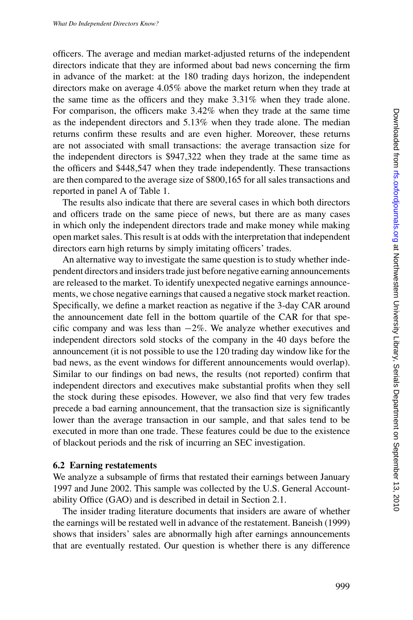officers. The average and median market-adjusted returns of the independent directors indicate that they are informed about bad news concerning the firm in advance of the market: at the 180 trading days horizon, the independent directors make on average 4.05% above the market return when they trade at the same time as the officers and they make 3.31% when they trade alone. For comparison, the officers make 3.42% when they trade at the same time as the independent directors and 5.13% when they trade alone. The median returns confirm these results and are even higher. Moreover, these returns are not associated with small transactions: the average transaction size for the independent directors is \$947,322 when they trade at the same time as the officers and \$448,547 when they trade independently. These transactions are then compared to the average size of \$800,165 for all sales transactions and reported in panel A of Table 1.

The results also indicate that there are several cases in which both directors and officers trade on the same piece of news, but there are as many cases in which only the independent directors trade and make money while making open market sales. This result is at odds with the interpretation that independent directors earn high returns by simply imitating officers' trades.

An alternative way to investigate the same question is to study whether independent directors and insiders trade just before negative earning announcements are released to the market. To identify unexpected negative earnings announcements, we chose negative earnings that caused a negative stock market reaction. Specifically, we define a market reaction as negative if the 3-day CAR around the announcement date fell in the bottom quartile of the CAR for that specific company and was less than −2%. We analyze whether executives and independent directors sold stocks of the company in the 40 days before the announcement (it is not possible to use the 120 trading day window like for the bad news, as the event windows for different announcements would overlap). Similar to our findings on bad news, the results (not reported) confirm that independent directors and executives make substantial profits when they sell the stock during these episodes. However, we also find that very few trades precede a bad earning announcement, that the transaction size is significantly lower than the average transaction in our sample, and that sales tend to be executed in more than one trade. These features could be due to the existence of blackout periods and the risk of incurring an SEC investigation.

## **6.2 Earning restatements**

We analyze a subsample of firms that restated their earnings between January 1997 and June 2002. This sample was collected by the U.S. General Accountability Office (GAO) and is described in detail in Section 2.1.

The insider trading literature documents that insiders are aware of whether the earnings will be restated well in advance of the restatement. Baneish (1999) shows that insiders' sales are abnormally high after earnings announcements that are eventually restated. Our question is whether there is any difference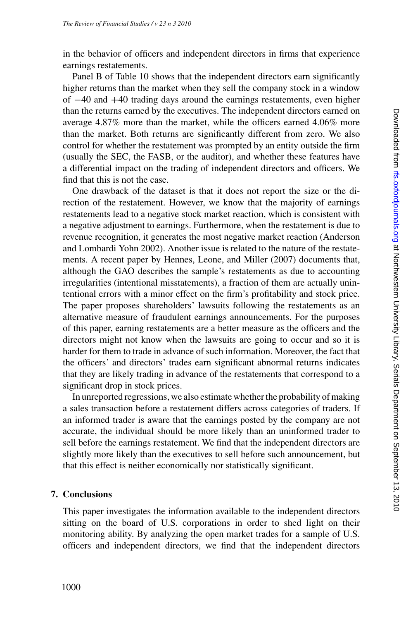in the behavior of officers and independent directors in firms that experience earnings restatements.

Panel B of Table 10 shows that the independent directors earn significantly higher returns than the market when they sell the company stock in a window of −40 and +40 trading days around the earnings restatements, even higher than the returns earned by the executives. The independent directors earned on average 4.87% more than the market, while the officers earned 4.06% more than the market. Both returns are significantly different from zero. We also control for whether the restatement was prompted by an entity outside the firm (usually the SEC, the FASB, or the auditor), and whether these features have a differential impact on the trading of independent directors and officers. We find that this is not the case.

One drawback of the dataset is that it does not report the size or the direction of the restatement. However, we know that the majority of earnings restatements lead to a negative stock market reaction, which is consistent with a negative adjustment to earnings. Furthermore, when the restatement is due to revenue recognition, it generates the most negative market reaction (Anderson and Lombardi Yohn 2002). Another issue is related to the nature of the restatements. A recent paper by Hennes, Leone, and Miller (2007) documents that, although the GAO describes the sample's restatements as due to accounting irregularities (intentional misstatements), a fraction of them are actually unintentional errors with a minor effect on the firm's profitability and stock price. The paper proposes shareholders' lawsuits following the restatements as an alternative measure of fraudulent earnings announcements. For the purposes of this paper, earning restatements are a better measure as the officers and the directors might not know when the lawsuits are going to occur and so it is harder for them to trade in advance of such information. Moreover, the fact that the officers' and directors' trades earn significant abnormal returns indicates that they are likely trading in advance of the restatements that correspond to a significant drop in stock prices.

In unreported regressions, we also estimate whether the probability of making a sales transaction before a restatement differs across categories of traders. If an informed trader is aware that the earnings posted by the company are not accurate, the individual should be more likely than an uninformed trader to sell before the earnings restatement. We find that the independent directors are slightly more likely than the executives to sell before such announcement, but that this effect is neither economically nor statistically significant.

### **7. Conclusions**

This paper investigates the information available to the independent directors sitting on the board of U.S. corporations in order to shed light on their monitoring ability. By analyzing the open market trades for a sample of U.S. officers and independent directors, we find that the independent directors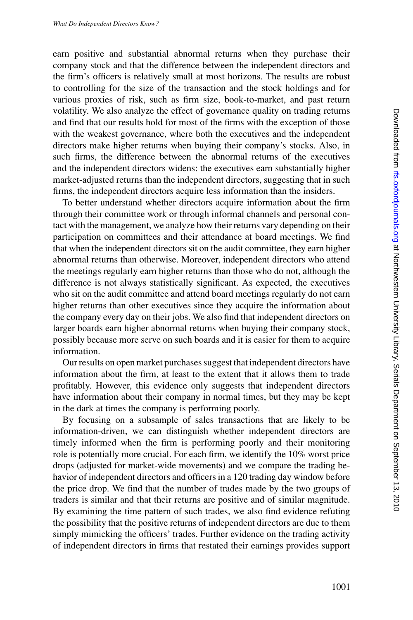earn positive and substantial abnormal returns when they purchase their company stock and that the difference between the independent directors and the firm's officers is relatively small at most horizons. The results are robust to controlling for the size of the transaction and the stock holdings and for various proxies of risk, such as firm size, book-to-market, and past return volatility. We also analyze the effect of governance quality on trading returns and find that our results hold for most of the firms with the exception of those with the weakest governance, where both the executives and the independent directors make higher returns when buying their company's stocks. Also, in such firms, the difference between the abnormal returns of the executives and the independent directors widens: the executives earn substantially higher market-adjusted returns than the independent directors, suggesting that in such firms, the independent directors acquire less information than the insiders.

To better understand whether directors acquire information about the firm through their committee work or through informal channels and personal contact with the management, we analyze how their returns vary depending on their participation on committees and their attendance at board meetings. We find that when the independent directors sit on the audit committee, they earn higher abnormal returns than otherwise. Moreover, independent directors who attend the meetings regularly earn higher returns than those who do not, although the difference is not always statistically significant. As expected, the executives who sit on the audit committee and attend board meetings regularly do not earn higher returns than other executives since they acquire the information about the company every day on their jobs. We also find that independent directors on larger boards earn higher abnormal returns when buying their company stock, possibly because more serve on such boards and it is easier for them to acquire information.

Our results on open market purchases suggest that independent directors have information about the firm, at least to the extent that it allows them to trade profitably. However, this evidence only suggests that independent directors have information about their company in normal times, but they may be kept in the dark at times the company is performing poorly.

By focusing on a subsample of sales transactions that are likely to be information-driven, we can distinguish whether independent directors are timely informed when the firm is performing poorly and their monitoring role is potentially more crucial. For each firm, we identify the 10% worst price drops (adjusted for market-wide movements) and we compare the trading behavior of independent directors and officers in a 120 trading day window before the price drop. We find that the number of trades made by the two groups of traders is similar and that their returns are positive and of similar magnitude. By examining the time pattern of such trades, we also find evidence refuting the possibility that the positive returns of independent directors are due to them simply mimicking the officers' trades. Further evidence on the trading activity of independent directors in firms that restated their earnings provides support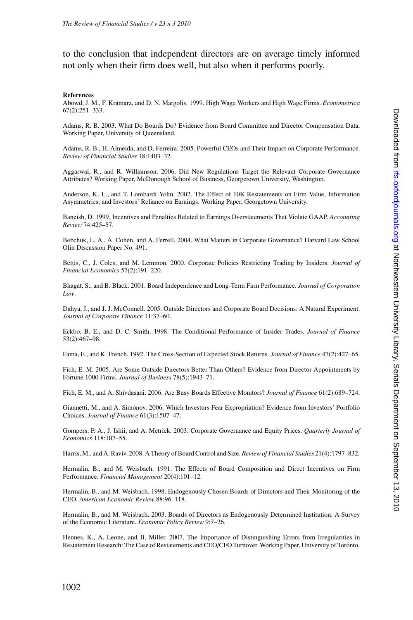to the conclusion that independent directors are on average timely informed not only when their firm does well, but also when it performs poorly.

#### **References**

Abowd, J. M., F. Kramarz, and D. N. Margolis. 1999. High Wage Workers and High Wage Firms. *Econometrica* 67(2):251–333.

Adams, R. B. 2003. What Do Boards Do? Evidence from Board Committee and Director Compensation Data. Working Paper, University of Queensland.

Adams, R. B., H. Almeida, and D. Ferreira. 2005. Powerful CEOs and Their Impact on Corporate Performance. *Review of Financial Studies* 18:1403–32.

Aggarwal, R., and R. Williamson. 2006. Did New Regulations Target the Relevant Corporate Governance Attributes? Working Paper, McDonough School of Business, Georgetown University, Washington.

Anderson, K. L., and T. Lombardi Yohn. 2002. The Effect of 10K Restatements on Firm Value, Information Asymmetries, and Investors' Reliance on Earnings. Working Paper, Georgetown University.

Baneish, D. 1999. Incentives and Penalties Related to Earnings Overstatements That Violate GAAP. *Accounting Review* 74:425–57.

Bebchuk, L. A., A. Cohen, and A. Ferrell. 2004. What Matters in Corporate Governance? Harvard Law School Olin Discussion Paper No. 491.

Bettis, C., J. Coles, and M. Lemmon. 2000. Corporate Policies Restricting Trading by Insiders. *Journal of Financial Economics* 57(2):191–220.

Bhagat, S., and B. Black. 2001. Board Independence and Long-Term Firm Performance. *Journal of Corporation Law*.

Dahya, J., and J. J. McConnell. 2005. Outside Directors and Corporate Board Decisions: A Natural Experiment. *Journal of Corporate Finance* 11:37–60.

Eckbo, B. E., and D. C. Smith. 1998. The Conditional Performance of Insider Trades. *Journal of Finance* 53(2):467–98.

Fama, E., and K. French. 1992. The Cross-Section of Expected Stock Returns. *Journal of Finance* 47(2):427–65.

Fich, E. M. 2005. Are Some Outside Directors Better Than Others? Evidence from Director Appointments by Fortune 1000 Firms. *Journal of Business* 78(5):1943–71.

Fich, E. M., and A. Shivdasani. 2006. Are Busy Boards Effective Monitors? *Journal of Finance* 61(2):689–724.

Giannetti, M., and A. Simonov. 2006. Which Investors Fear Expropriation? Evidence from Investors' Portfolio Choices. *Journal of Finance* 61(3):1507–47.

Gompers, P. A., J. Ishii, and A. Metrick. 2003. Corporate Governance and Equity Prices. *Quarterly Journal of Economics* 118:107–55.

Harris, M., and A. Raviv. 2008. A Theory of Board Control and Size. *Review of Financial Studies* 21(4):1797–832.

Hermalin, B., and M. Weisbach. 1991. The Effects of Board Composition and Direct Incentives on Firm Performance. *Financial Management* 20(4):101–12.

Hermalin, B., and M. Weisbach. 1998. Endogenously Chosen Boards of Directors and Their Monitoring of the CEO. *American Economic Review* 88:96–118.

Hermalin, B., and M. Weisbach. 2003. Boards of Directors as Endogenously Determined Institution: A Survey of the Economic Literature. *Economic Policy Review* 9:7–26.

Hennes, K., A. Leone, and B. Miller. 2007. The Importance of Distinguishing Errors from Irregularities in Restatement Research: The Case of Restatements and CEO/CFO Turnover. Working Paper, University of Toronto.